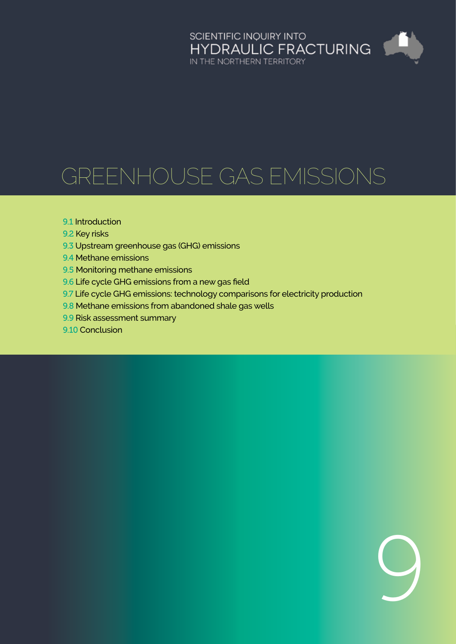# SCIENTIFIC INQUIRY INTO<br>HYDRAULIC FRACTURING<br>IN THE NORTHERN TERRITORY Æ

9

# Greenhouse gas emissions

#### 9.1 [Introduction](#page-1-0)

- 9.2 [Key risks](#page-4-0)
- 9.3 [Upstream greenhouse gas \(GHG\) emissions](#page-4-0)
- 9.4 [Methane emissions](#page-6-0)
- 9.5 [Monitoring methane emissions](#page-12-0)
- 9.6 [Life cycle GHG emissions from a new gas field](#page-18-0)
- 9.7 [Life cycle GHG emissions: technology comparisons for electricity production](#page-20-0)
- 9.8 [Methane emissions from abandoned shale gas wells](#page-23-0)
- 9.9 [Risk assessment summary](#page-27-0)
- 9.10 [Conclusion](#page-29-0)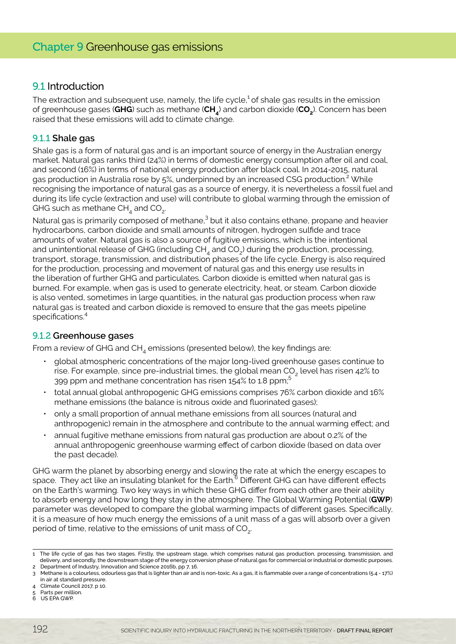# <span id="page-1-0"></span>9.1 Introduction

The extraction and subsequent use, namely, the life cycle, $1$  of shale gas results in the emission of greenhouse gases (**GHG**) such as methane (**CH4**) and carbon dioxide (**CO2**). Concern has been raised that these emissions will add to climate change.

#### 9.1.1 **Shale gas**

Shale gas is a form of natural gas and is an important source of energy in the Australian energy market. Natural gas ranks third (24%) in terms of domestic energy consumption after oil and coal, and second (16%) in terms of national energy production after black coal. In 2014-2015, natural gas production in Australia rose by 5%, underpinned by an increased CSG production.<sup>2</sup> While recognising the importance of natural gas as a source of energy, it is nevertheless a fossil fuel and during its life cycle (extraction and use) will contribute to global warming through the emission of GHG such as methane  $CH<sub>4</sub>$  and  $CO<sub>2</sub>$ .

Natural gas is primarily composed of methane,<sup>3</sup> but it also contains ethane, propane and heavier hydrocarbons, carbon dioxide and small amounts of nitrogen, hydrogen sulfide and trace amounts of water. Natural gas is also a source of fugitive emissions, which is the intentional and unintentional release of GHG (including  $CH<sub>4</sub>$  and  $CO<sub>2</sub>$ ) during the production, processing, transport, storage, transmission, and distribution phases of the life cycle. Energy is also required for the production, processing and movement of natural gas and this energy use results in the liberation of further GHG and particulates. Carbon dioxide is emitted when natural gas is burned. For example, when gas is used to generate electricity, heat, or steam. Carbon dioxide is also vented, sometimes in large quantities, in the natural gas production process when raw natural gas is treated and carbon dioxide is removed to ensure that the gas meets pipeline specifications.<sup>4</sup>

#### 9.1.2 **Greenhouse gases**

From a review of GHG and  $CH<sub>4</sub>$  emissions (presented below), the key findings are:

- global atmospheric concentrations of the major long-lived greenhouse gases continue to rise. For example, since pre-industrial times, the global mean CO<sub>2</sub> level has risen 42% to 399 ppm and methane concentration has risen 154% to 1.8 ppm;<sup>5</sup>
- total annual global anthropogenic GHG emissions comprises 76% carbon dioxide and 16% methane emissions (the balance is nitrous oxide and fluorinated gases);
- only a small proportion of annual methane emissions from all sources (natural and anthropogenic) remain in the atmosphere and contribute to the annual warming effect; and
- annual fugitive methane emissions from natural gas production are about 0.2% of the annual anthropogenic greenhouse warming effect of carbon dioxide (based on data over the past decade).

GHG warm the planet by absorbing energy and slowing the rate at which the energy escapes to space. They act like an insulating blanket for the Earth.<sup>6</sup> Different GHG can have different effects on the Earth's warming. Two key ways in which these GHG differ from each other are their ability to absorb energy and how long they stay in the atmosphere. The Global Warming Potential (**GWP**) parameter was developed to compare the global warming impacts of different gases. Specifically, it is a measure of how much energy the emissions of a unit mass of a gas will absorb over a given period of time, relative to the emissions of unit mass of  $CO<sub>2</sub>$ .

<sup>1</sup> The life cycle of gas has two stages. Firstly, the upstream stage, which comprises natural gas production, processing, transmission, and delivery, and secondly, the downstream stage of the energy conversion phase of natural gas for commercial or industrial or domestic purposes.

<sup>2</sup> Department of Industry, Innovation and Science 2016b, pp 7, 16.

<sup>3</sup> Methane is a colourless, odourless gas that is lighter than air and is non-toxic. As a gas, it is flammable over a range of concentrations (5.4 - 17%) in air at standard pressure.

<sup>4</sup> Climate Council 2017, p 10.

<sup>5</sup> Parts per million.

<sup>6</sup> US EPA GWP.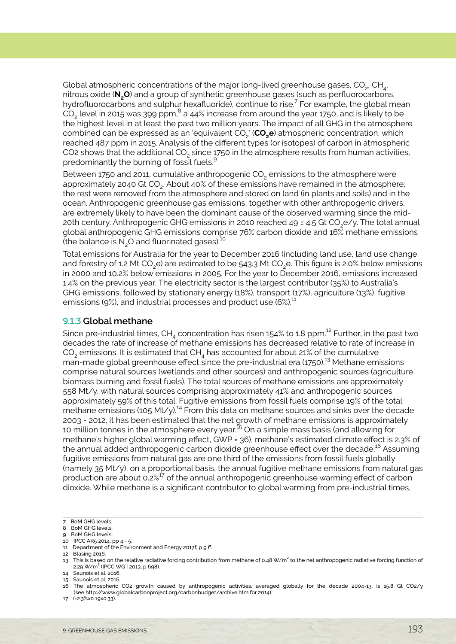Global atmospheric concentrations of the major long-lived greenhouse gases, CO<sub>2</sub>, CH<sub>4</sub>, nitrous oxide (**N2O**) and a group of synthetic greenhouse gases (such as perfluorocarbons, hydrofluorocarbons and sulphur hexafluoride), continue to rise.<sup>7</sup> For example, the global mean CO $_{\rm 2}$  level in 2015 was 399 ppm, $^8$  a 44% increase from around the year 1750, and is likely to be the highest level in at least the past two million years. The impact of all GHG in the atmosphere combined can be expressed as an 'equivalent CO<sub>2</sub>' (CO<sub>2</sub>e) atmospheric concentration, which reached 487 ppm in 2015. Analysis of the different types (or isotopes) of carbon in atmospheric CO2 shows that the additional CO<sub>2</sub> since 1750 in the atmosphere results from human activities, predominantly the burning of fossil fuels.<sup>9</sup>

Between 1750 and 2011, cumulative anthropogenic CO<sub>2</sub> emissions to the atmosphere were approximately 2040 Gt CO<sub>2</sub>. About 40% of these emissions have remained in the atmosphere; the rest were removed from the atmosphere and stored on land (in plants and soils) and in the ocean. Anthropogenic greenhouse gas emissions, together with other anthropogenic drivers, are extremely likely to have been the dominant cause of the observed warming since the mid-20th century. Anthropogenic GHG emissions in 2010 reached 49  $\pm$  4.5 Gt CO<sub>2</sub>e/y. The total annual global anthropogenic GHG emissions comprise 76% carbon dioxide and 16% methane emissions (the balance is  $N<sub>2</sub>O$  and fluorinated gases).<sup>10</sup>

Total emissions for Australia for the year to December 2016 (including land use, land use change and forestry of 1.2 Mt CO<sub>2</sub>e) are estimated to be 543.3 Mt CO<sub>2</sub>e. This figure is 2.0% below emissions in 2000 and 10.2% below emissions in 2005. For the year to December 2016, emissions increased 1.4% on the previous year. The electricity sector is the largest contributor (35%) to Australia's GHG emissions, followed by stationary energy (18%), transport (17%), agriculture (13%), fugitive emissions (9%), and industrial processes and product use (6%).<sup>11</sup>

#### 9.1.3 **Global methane**

Since pre-industrial times,  $CH<sub>4</sub>$  concentration has risen 154% to 1.8 ppm.<sup>12</sup> Further, in the past two decades the rate of increase of methane emissions has decreased relative to rate of increase in  $CO<sub>2</sub>$  emissions. It is estimated that CH<sub>4</sub> has accounted for about 21% of the cumulative man-made global greenhouse effect since the pre-industrial era (1750).<sup>13</sup> Methane emissions comprise natural sources (wetlands and other sources) and anthropogenic sources (agriculture, biomass burning and fossil fuels). The total sources of methane emissions are approximately 558 Mt/y, with natural sources comprising approximately 41% and anthropogenic sources approximately 59% of this total. Fugitive emissions from fossil fuels comprise 19% of the total methane emissions (105 Mt/y).<sup>14</sup> From this data on methane sources and sinks over the decade 2003 - 2012, it has been estimated that the net growth of methane emissions is approximately 10 million tonnes in the atmosphere every year.<sup>15</sup> On a simple mass basis (and allowing for methane's higher global warming effect, GWP = 36), methane's estimated climate effect is 2.3% of the annual added anthropogenic carbon dioxide greenhouse effect over the decade.<sup>16</sup> Assuming fugitive emissions from natural gas are one third of the emissions from fossil fuels globally (namely 35 Mt/y), on a proportional basis, the annual fugitive methane emissions from natural gas production are about  $0.2\%$ <sup>17</sup> of the annual anthropogenic greenhouse warming effect of carbon dioxide. While methane is a significant contributor to global warming from pre-industrial times,

- 9 BoM GHG levels.
- 10 IPCC AR5 2014, pp 4 5.

12 Blasing 2016.

17 (=2.3%x0.19x0.33).

<sup>7</sup> BoM GHG levels.

<sup>8</sup> BoM GHG levels.

<sup>11</sup> Department of the Environment and Energy 2017f, p 9 ff.

<sup>13</sup> This is based on the relative radiative forcing contribution from methane of 0.48 W/m<sup>2</sup> to the net anthropogenic radiative forcing function of 2.29 W/m<sup>2</sup> (IPCC WG | 2013, p 698).

<sup>14</sup> Saunois et al. 2016. 15 Saunois et al. 2016.

<sup>16</sup> The atmospheric CO2 growth caused by anthropogenic activities, averaged globally for the decade 2004-13, is 15.8 Gt CO2/y (see http://www.globalcarbonproject.org/carbonbudget/archive.htm for 2014).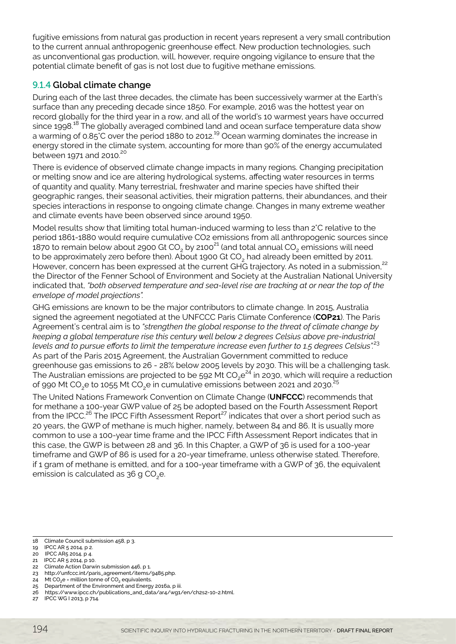fugitive emissions from natural gas production in recent years represent a very small contribution to the current annual anthropogenic greenhouse effect. New production technologies, such as unconventional gas production, will, however, require ongoing vigilance to ensure that the potential climate benefit of gas is not lost due to fugitive methane emissions.

# 9.1.4 **Global climate change**

During each of the last three decades, the climate has been successively warmer at the Earth's surface than any preceding decade since 1850. For example, 2016 was the hottest year on record globally for the third year in a row, and all of the world's 10 warmest years have occurred since 1998.<sup>18</sup> The globally averaged combined land and ocean surface temperature data show a warming of 0.85°C over the period 1880 to 2012.<sup>19</sup> Ocean warming dominates the increase in energy stored in the climate system, accounting for more than 90% of the energy accumulated between 1971 and 2010. $^{20}$ 

There is evidence of observed climate change impacts in many regions. Changing precipitation or melting snow and ice are altering hydrological systems, affecting water resources in terms of quantity and quality. Many terrestrial, freshwater and marine species have shifted their geographic ranges, their seasonal activities, their migration patterns, their abundances, and their species interactions in response to ongoing climate change. Changes in many extreme weather and climate events have been observed since around 1950.

Model results show that limiting total human-induced warming to less than 2°C relative to the period 1861-1880 would require cumulative CO2 emissions from all anthropogenic sources since 1870 to remain below about 2900 Gt CO<sub>2</sub> by 2100<sup>21</sup> (and total annual CO<sub>2</sub> emissions will need to be approximately zero before then). About 1900 Gt CO<sub>2</sub> had already been emitted by 2011. However, concern has been expressed at the current GHG trajectory. As noted in a submission.<sup>22</sup> the Director of the Fenner School of Environment and Society at the Australian National University indicated that, *"both observed temperature and sea-level rise are tracking at or near the top of the envelope of model projections".*

GHG emissions are known to be the major contributors to climate change. In 2015, Australia signed the agreement negotiated at the UNFCCC Paris Climate Conference (**COP21**). The Paris Agreement's central aim is to *"strengthen the global response to the threat of climate change by keeping a global temperature rise this century well below 2 degrees Celsius above pre-industrial levels and to pursue efforts to limit the temperature increase even further to 1.5 degrees Celsius".*<sup>23</sup> As part of the Paris 2015 Agreement, the Australian Government committed to reduce greenhouse gas emissions to 26 - 28% below 2005 levels by 2030. This will be a challenging task. The Australian emissions are projected to be 592 Mt  $CO_2e^{24}$  in 2030, which will require a reduction of 990 Mt CO<sub>2</sub>e to 1055 Mt CO<sub>2</sub>e in cumulative emissions between 2021 and 2030.<sup>25</sup>

The United Nations Framework Convention on Climate Change (**UNFCCC**) recommends that for methane a 100-year GWP value of 25 be adopted based on the Fourth Assessment Report from the IPCC.<sup>26</sup> The IPCC Fifth Assessment Report<sup>27</sup> indicates that over a short period such as 20 years, the GWP of methane is much higher, namely, between 84 and 86. It is usually more common to use a 100-year time frame and the IPCC Fifth Assessment Report indicates that in this case, the GWP is between 28 and 36. In this Chapter, a GWP of 36 is used for a 100-year timeframe and GWP of 86 is used for a 20-year timeframe, unless otherwise stated. Therefore, if 1 gram of methane is emitted, and for a 100-year timeframe with a GWP of 36, the equivalent emission is calculated as  $36$  g CO<sub>2</sub>e.

- 22 Climate Action Darwin submission 446, p 1.
- 23 http://unfccc.int/paris\_agreement/items/9485.php. 24 Mt CO<sub>2</sub>e = million tonne of CO<sub>2</sub> equivalents.
- 25 Department of the Environment and Energy 2016a, p iii.
- 26 https://www.ipcc.ch/publications\_and\_data/ar4/wg1/en/ch2s2-10-2.html.
- 27 IPCC WG I 2013, p 714.

<sup>18</sup>  Climate Council submission 458, p 3.

<sup>19</sup>  IPCC AR 5 2014, p 2.

<sup>20</sup>  IPCC AR5 2014, p 4.

<sup>21</sup>  IPCC AR 5 2014, p 10.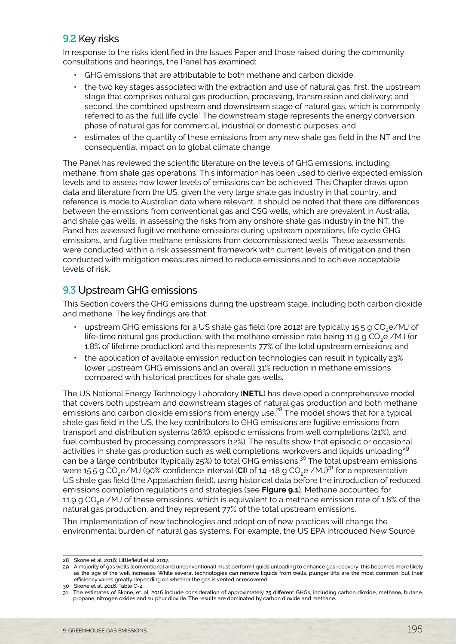# <span id="page-4-0"></span>9.2 Key risks

In response to the risks identified in the Issues Paper and those raised during the community consultations and hearings, the Panel has examined:

- GHG emissions that are attributable to both methane and carbon dioxide;
- the two key stages associated with the extraction and use of natural gas: first, the upstream stage that comprises natural gas production, processing, transmission and delivery; and second, the combined upstream and downstream stage of natural gas, which is commonly referred to as the 'full life cycle'. The downstream stage represents the energy conversion phase of natural gas for commercial, industrial or domestic purposes; and
- estimates of the quantity of these emissions from any new shale gas field in the NT and the consequential impact on to global climate change.

The Panel has reviewed the scientific literature on the levels of GHG emissions, including methane, from shale gas operations. This information has been used to derive expected emission levels and to assess how lower levels of emissions can be achieved. This Chapter draws upon data and literature from the US, given the very large shale gas industry in that country, and reference is made to Australian data where relevant. It should be noted that there are differences between the emissions from conventional gas and CSG wells, which are prevalent in Australia, and shale gas wells. In assessing the risks from any onshore shale gas industry in the NT, the Panel has assessed fugitive methane emissions during upstream operations, life cycle GHG emissions, and fugitive methane emissions from decommissioned wells. These assessments were conducted within a risk assessment framework with current levels of mitigation and then conducted with mitigation measures aimed to reduce emissions and to achieve acceptable levels of risk.

# 9.3 Upstream GHG emissions

This Section covers the GHG emissions during the upstream stage, including both carbon dioxide and methane. The key findings are that:

- upstream GHG emissions for a US shale gas field (pre 2012) are typically 15.5 g CO<sub>3</sub>e/MJ of life-time natural gas production, with the methane emission rate being 11.9 g CO<sub>2</sub>e /MJ (or 1.8% of lifetime production) and this represents 77% of the total upstream emissions; and
- the application of available emission reduction technologies can result in typically 23% lower upstream GHG emissions and an overall 31% reduction in methane emissions compared with historical practices for shale gas wells.

The US National Energy Technology Laboratory (**NETL**) has developed a comprehensive model that covers both upstream and downstream stages of natural gas production and both methane emissions and carbon dioxide emissions from energy use.<sup>28</sup> The model shows that for a typical shale gas field in the US, the key contributors to GHG emissions are fugitive emissions from transport and distribution systems (26%), episodic emissions from well completions (21%), and fuel combusted by processing compressors (12%). The results show that episodic or occasional activities in shale gas production such as well completions, workovers and liquids unloading<sup>29</sup> can be a large contributor (typically 25%) to total GHG emissions.<sup>30</sup> The total upstream emissions were 15.5 g CO<sub>2</sub>e/MJ (90% confidence interval (CI) of 14 -18 g CO<sub>2</sub>e /MJ)<sup>31</sup> for a representative US shale gas field (the Appalachian field), using historical data before the introduction of reduced emissions completion regulations and strategies (see **Figure 9.1**). Methane accounted for 11.9 g CO<sub>2</sub>e /MJ of these emissions, which is equivalent to a methane emission rate of 1.8% of the natural gas production, and they represent 77% of the total upstream emissions.

The implementation of new technologies and adoption of new practices will change the environmental burden of natural gas systems. For example, the US EPA introduced New Source

<sup>28</sup> Skone et al. 2016; Littlefield et al. 2017.

<sup>29</sup> A majority of gas wells (conventional and unconventional) must perform liquids unloading to enhance gas recovery; this becomes more likely as the age of the well increases. While several technologies can remove liquids from wells, plunger lifts are the most common, but their efficiency varies greatly depending on whether the gas is vented or recovered.

<sup>30</sup> Skone et al. 2016, Table C-2.

<sup>31</sup> The estimates of Skone, et. al. 2016 include consideration of approximately 25 different GHGs, including carbon dioxide, methane, butane, propane, nitrogen oxides and sulphur dioxide. The results are dominated by carbon dioxide and methane.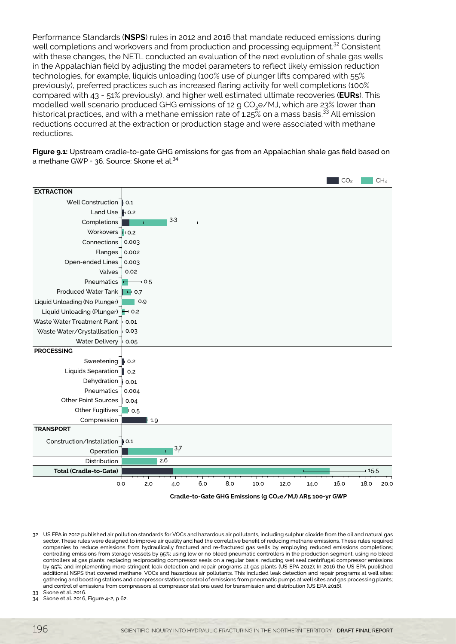Performance Standards (**NSPS**) rules in 2012 and 2016 that mandate reduced emissions during well completions and workovers and from production and processing equipment.<sup>32</sup> Consistent with these changes, the NETL conducted an evaluation of the next evolution of shale gas wells in the Appalachian field by adjusting the model parameters to reflect likely emission reduction technologies, for example, liquids unloading (100% use of plunger lifts compared with 55% previously), preferred practices such as increased flaring activity for well completions (100% compared with 43 - 51% previously), and higher well estimated ultimate recoveries (**EURs**). This modelled well scenario produced GHG emissions of 12 g CO<sub>3</sub>e/MJ, which are 23% lower than historical practices, and with a methane emission rate of 1.25 $\%$  on a mass basis.<sup>33</sup> All emission reductions occurred at the extraction or production stage and were associated with methane reductions.

**Figure 9.1:** Upstream cradle-to-gate GHG emissions for gas from an Appalachian shale gas field based on a methane GWP = 36. Source: Skone et al.<sup>34</sup>



<sup>32</sup> US EPA in 2012 published air pollution standards for VOCs and hazardous air pollutants, including sulphur dioxide from the oil and natural gas sector. These rules were designed to improve air quality and had the correlative benefit of reducing methane emissions. These rules required companies to reduce emissions from hydraulically fractured and re-fractured gas wells by employing reduced emissions completions; controlling emissions from storage vessels by 95%; using low or no bleed pneumatic controllers in the production segment; using no bleed controllers at gas plants; replacing reciprocating compressor seals on a regular basis; reducing wet seal centrifugal compressor emissions by 95%; and implementing more stringent leak detection and repair programs at gas plants (US EPA 2012); In 2016 the US EPA published additional NSPS that covered methane, VOCs and hazardous air pollutants. This included leak detection and repair programs at well sites; gathering and boosting stations and compressor stations; control of emissions from pneumatic pumps at well sites and gas processing plants; and control of emissions from compressors at compressor stations used for transmission and distribution (US EPA 2016).

33 Skone et al. 2016.

Skone et al. 2016, Figure 4-2, p 62.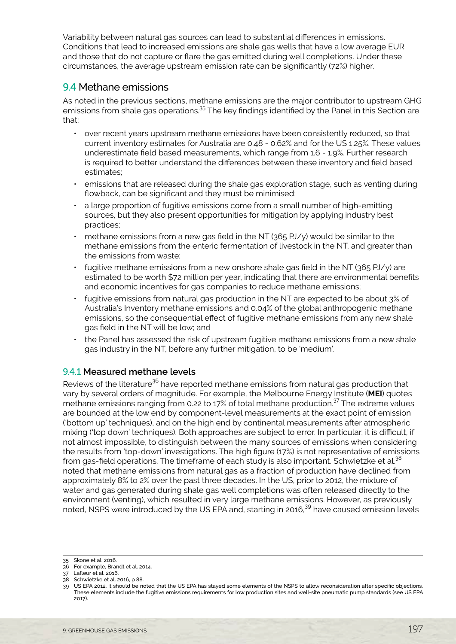<span id="page-6-0"></span>Variability between natural gas sources can lead to substantial differences in emissions. Conditions that lead to increased emissions are shale gas wells that have a low average EUR and those that do not capture or flare the gas emitted during well completions. Under these circumstances, the average upstream emission rate can be significantly (72%) higher.

# 9.4 Methane emissions

As noted in the previous sections, methane emissions are the major contributor to upstream GHG emissions from shale gas operations.<sup>35</sup> The key findings identified by the Panel in this Section are that:

- over recent years upstream methane emissions have been consistently reduced, so that current inventory estimates for Australia are 0.48 - 0.62% and for the US 1.25%. These values underestimate field based measurements, which range from 1.6 - 1.9%. Further research is required to better understand the differences between these inventory and field based estimates;
- emissions that are released during the shale gas exploration stage, such as venting during flowback, can be significant and they must be minimised;
- a large proportion of fugitive emissions come from a small number of high-emitting sources, but they also present opportunities for mitigation by applying industry best practices;
- methane emissions from a new gas field in the NT (365 PJ/y) would be similar to the methane emissions from the enteric fermentation of livestock in the NT, and greater than the emissions from waste;
- fugitive methane emissions from a new onshore shale gas field in the NT (365 PJ/y) are estimated to be worth \$72 million per year, indicating that there are environmental benefits and economic incentives for gas companies to reduce methane emissions;
- fugitive emissions from natural gas production in the NT are expected to be about 3% of Australia's Inventory methane emissions and 0.04% of the global anthropogenic methane emissions, so the consequential effect of fugitive methane emissions from any new shale gas field in the NT will be low; and
- the Panel has assessed the risk of upstream fugitive methane emissions from a new shale gas industry in the NT, before any further mitigation, to be 'medium'.

#### 9.4.1 **Measured methane levels**

Reviews of the literature<sup>36</sup> have reported methane emissions from natural gas production that vary by several orders of magnitude. For example, the Melbourne Energy Institute (**MEI**) quotes methane emissions ranging from 0.22 to 17% of total methane production.37 The extreme values are bounded at the low end by component-level measurements at the exact point of emission ('bottom up' techniques), and on the high end by continental measurements after atmospheric mixing ('top down' techniques). Both approaches are subject to error. In particular, it is difficult, if not almost impossible, to distinguish between the many sources of emissions when considering the results from 'top-down' investigations. The high figure (17%) is not representative of emissions from gas-field operations. The timeframe of each study is also important. Schwietzke et al.<sup>38</sup> noted that methane emissions from natural gas as a fraction of production have declined from approximately 8% to 2% over the past three decades. In the US, prior to 2012, the mixture of water and gas generated during shale gas well completions was often released directly to the environment (venting), which resulted in very large methane emissions. However, as previously noted, NSPS were introduced by the US EPA and, starting in 2016.<sup>39</sup> have caused emission levels

<sup>35</sup> Skone et al. 2016.

<sup>36</sup> For example, Brandt et al. 2014.

<sup>37</sup> Lafleur et al. 2016.

<sup>38</sup> Schwietzke et al. 2016, p 88.

<sup>39</sup> US EPA 2012. It should be noted that the US EPA has stayed some elements of the NSPS to allow reconsideration after specific objections. These elements include the fugitive emissions requirements for low production sites and well-site pneumatic pump standards (see US EPA 2017).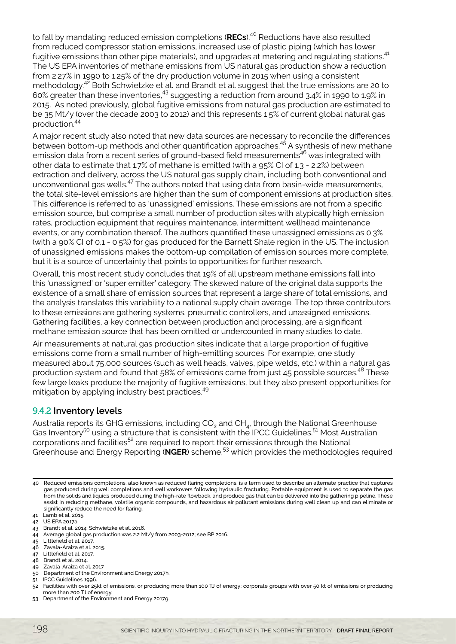to fall by mandating reduced emission completions (RECs).<sup>40</sup> Reductions have also resulted from reduced compressor station emissions, increased use of plastic piping (which has lower fugitive emissions than other pipe materials), and upgrades at metering and regulating stations.<sup>41</sup> The US EPA inventories of methane emissions from US natural gas production show a reduction from 2.27% in 1990 to 1.25% of the dry production volume in 2015 when using a consistent methodology.42 Both Schwietzke et al. and Brandt et al. suggest that the true emissions are 20 to 60% greater than these inventories,43 suggesting a reduction from around 3.4% in 1990 to 1.9% in 2015. As noted previously, global fugitive emissions from natural gas production are estimated to be 35 Mt/y (over the decade 2003 to 2012) and this represents 1.5% of current global natural gas production.<sup>44</sup>

A major recent study also noted that new data sources are necessary to reconcile the differences between bottom-up methods and other quantification approaches.<sup>45</sup> A synthesis of new methane emission data from a recent series of ground-based field measurements<sup>46</sup> was integrated with other data to estimate that 1.7% of methane is emitted (with a 95% CI of 1.3 - 2.2%) between extraction and delivery, across the US natural gas supply chain, including both conventional and unconventional gas wells.<sup>47</sup> The authors noted that using data from basin-wide measurements, the total site-level emissions are higher than the sum of component emissions at production sites. This difference is referred to as 'unassigned' emissions. These emissions are not from a specific emission source, but comprise a small number of production sites with atypically high emission rates, production equipment that requires maintenance, intermittent wellhead maintenance events, or any combination thereof. The authors quantified these unassigned emissions as 0.3% (with a 90% CI of 0.1 - 0.5%) for gas produced for the Barnett Shale region in the US. The inclusion of unassigned emissions makes the bottom-up compilation of emission sources more complete, but it is a source of uncertainty that points to opportunities for further research.

Overall, this most recent study concludes that 19% of all upstream methane emissions fall into this 'unassigned' or 'super emitter' category. The skewed nature of the original data supports the existence of a small share of emission sources that represent a large share of total emissions, and the analysis translates this variability to a national supply chain average. The top three contributors to these emissions are gathering systems, pneumatic controllers, and unassigned emissions. Gathering facilities, a key connection between production and processing, are a significant methane emission source that has been omitted or undercounted in many studies to date.

Air measurements at natural gas production sites indicate that a large proportion of fugitive emissions come from a small number of high-emitting sources. For example, one study measured about 75,000 sources (such as well heads, valves, pipe welds, etc.) within a natural gas production system and found that 58% of emissions came from just 45 possible sources.<sup>48</sup> These few large leaks produce the majority of fugitive emissions, but they also present opportunities for mitigation by applying industry best practices.<sup>49</sup>

#### 9.4.2 **Inventory levels**

Australia reports its GHG emissions, including CO<sub>2</sub> and CH<sub>4</sub>, through the National Greenhouse Gas Inventory<sup>50</sup> using a structure that is consistent with the IPCC Guidelines.<sup>51</sup> Most Australian corporations and facilities<sup>52</sup> are required to report their emissions through the National Greenhouse and Energy Reporting (**NGER**) scheme,53 which provides the methodologies required

- 46 Zavala-Araiza et al. 2015.
- 47 Littlefield et al. 2017.
- 48 Brandt et al. 2014.
- 49 Zavala-Araiza et al. 2017
- 50 Department of the Environment and Energy 2017h.
- 51 IPCC Guidelines 1996.
- 52 Facilities with over 25kt of emissions, or producing more than 100 TJ of energy; corporate groups with over 50 kt of emissions or producing more than 200 TJ of energy.

<sup>40</sup> Reduced emissions completions, also known as reduced flaring completions, is a term used to describe an alternate practice that captures gas produced during well completions and well workovers following hydraulic fracturing. Portable equipment is used to separate the gas from the solids and liquids produced during the high-rate flowback, and produce gas that can be delivered into the gathering pipeline. These assist in reducing methane, volatile organic compounds, and hazardous air pollutant emissions during well clean up and can eliminate or significantly reduce the need for flaring.

<sup>41</sup> Lamb et al. 2015.

<sup>42</sup> US EPA 2017a.

<sup>43</sup> Brandt et al. 2014; Schwietzke et al. 2016. 44 Average global gas production was 2.2 Mt/y from 2003-2012; see BP 2016.

<sup>45</sup> Littlefield et al. 2017.

<sup>53</sup> Department of the Environment and Energy 2017g.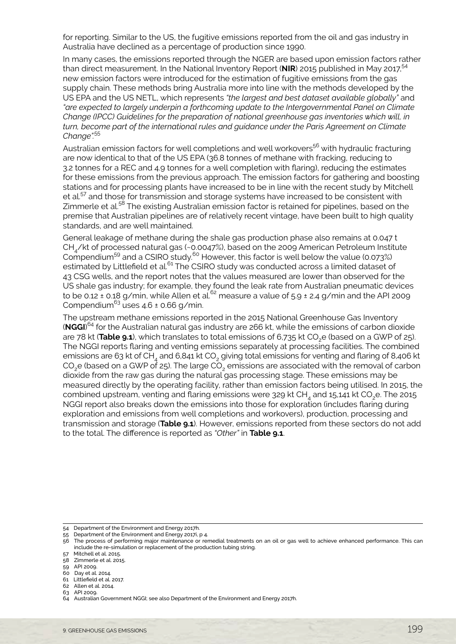for reporting. Similar to the US, the fugitive emissions reported from the oil and gas industry in Australia have declined as a percentage of production since 1990.

In many cases, the emissions reported through the NGER are based upon emission factors rather than direct measurement. In the National Inventory Report (NIR) 2015 published in May 2017,<sup>54</sup> new emission factors were introduced for the estimation of fugitive emissions from the gas supply chain. These methods bring Australia more into line with the methods developed by the US EPA and the US NETL, which represents *"the largest and best dataset available globally"* and *"are expected to largely underpin a forthcoming update to the Intergovernmental Panel on Climate Change (IPCC) Guidelines for the preparation of national greenhouse gas inventories which will, in turn, become part of the international rules and guidance under the Paris Agreement on Climate Change".*<sup>55</sup>

Australian emission factors for well completions and well workovers<sup>56</sup> with hydraulic fracturing are now identical to that of the US EPA (36.8 tonnes of methane with fracking, reducing to 3.2 tonnes for a REC and 4.9 tonnes for a well completion with flaring), reducing the estimates for these emissions from the previous approach. The emission factors for gathering and boosting stations and for processing plants have increased to be in line with the recent study by Mitchell et al.<sup>57</sup> and those for transmission and storage systems have increased to be consistent with Zimmerle et al.<sup>58</sup> The existing Australian emission factor is retained for pipelines, based on the premise that Australian pipelines are of relatively recent vintage, have been built to high quality standards, and are well maintained.

General leakage of methane during the shale gas production phase also remains at 0.047 t CH<sub>4</sub>/kt of processed natural gas (~0.0047%), based on the 2009 American Petroleum Institute Compendium<sup>59</sup> and a CSIRO study.<sup>60</sup> However, this factor is well below the value (0.073%) estimated by Littlefield et al.<sup>61</sup> The CSIRO study was conducted across a limited dataset of 43 CSG wells, and the report notes that the values measured are lower than observed for the US shale gas industry; for example, they found the leak rate from Australian pneumatic devices to be 0.12 ± 0.18 g/min, while Allen et al.<sup>62</sup> measure a value of 5.9 ± 2.4 g/min and the API 2009 Compendium<sup>63</sup> uses  $4.6 \pm 0.66$  g/min.

The upstream methane emissions reported in the 2015 National Greenhouse Gas Inventory (**NGGI**) 64 for the Australian natural gas industry are 266 kt, while the emissions of carbon dioxide are 78 kt (Table 9.1), which translates to total emissions of 6,735 kt CO<sub>2</sub>e (based on a GWP of 25). The NGGI reports flaring and venting emissions separately at processing facilities. The combined emissions are 63 kt of CH<sub>4</sub> and 6,841 kt CO<sub>2</sub> giving total emissions for venting and flaring of 8,406 kt CO<sub>2</sub>e (based on a GWP of 25). The large  $\overline{CO}_2$  emissions are associated with the removal of carbon dioxide from the raw gas during the natural gas processing stage. These emissions may be measured directly by the operating facility, rather than emission factors being utilised. In 2015, the combined upstream, venting and flaring emissions were 329 kt CH<sub>4</sub> and 15,141 kt CO<sub>2</sub>e. The 2015 NGGI report also breaks down the emissions into those for exploration (includes flaring during exploration and emissions from well completions and workovers), production, processing and transmission and storage (**Table 9.1**). However, emissions reported from these sectors do not add to the total. The difference is reported as *"Other"* in **Table 9.1**.

<sup>54</sup> Department of the Environment and Energy 2017h.

<sup>55</sup> Department of the Environment and Energy 2017i, p 4.

<sup>56</sup> The process of performing major maintenance or remedial treatments on an oil or gas well to achieve enhanced performance. This can include the re-simulation or replacement of the production tubing string.

<sup>57</sup> Mitchell et al. 2015.

<sup>58</sup> Zimmerle et al. 2015. 59 API 2009.

<sup>60</sup> Day et al. 2014. 61 Littlefield et al. 2017.

<sup>62</sup> Allen et al. 2014.

<sup>63</sup> API 2009.

<sup>64</sup> Australian Government NGGI; see also Department of the Environment and Energy 2017h.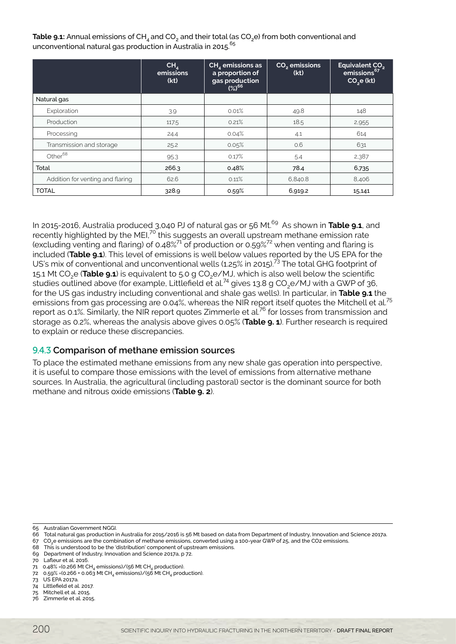**Table 9.1:** Annual emissions of CH<sub>4</sub> and CO<sub>2</sub> and their total (as CO<sub>2</sub>e) from both conventional and unconventional natural gas production in Australia in 2015.<sup>65</sup>

|                                  | CH <sub>4</sub><br>emissions<br>(kt) | $CH4$ emissions as<br>a proportion of<br>gas production<br>$(%)^{66}$ | CO <sub>2</sub> emissions<br>(kt) | Equivalent CO <sub>2</sub><br>emissions <sup>67</sup><br>CO <sub>2</sub> e (kt) |
|----------------------------------|--------------------------------------|-----------------------------------------------------------------------|-----------------------------------|---------------------------------------------------------------------------------|
| Natural gas                      |                                      |                                                                       |                                   |                                                                                 |
| Exploration                      | 3.9                                  | 0.01%                                                                 | 49.8                              | 148                                                                             |
| Production                       | 117.5                                | 0.21%                                                                 | 18.5                              | 2,955                                                                           |
| Processing                       | 24.4                                 | 0.04%                                                                 | 4.1                               | 614                                                                             |
| Transmission and storage         | 25.2                                 | 0.05%                                                                 | 0.6                               | 631                                                                             |
| Other $68$                       | 95.3                                 | 0.17%                                                                 | 5.4                               | 2,387                                                                           |
| Total                            | 266.3                                | 0.48%                                                                 | 78.4                              | 6,735                                                                           |
| Addition for venting and flaring | 62.6                                 | 0.11%                                                                 | 6,840.8                           | 8,406                                                                           |
| <b>TOTAL</b>                     | 328.9                                | 0.59%                                                                 | 6,919.2                           | 15,141                                                                          |

In 2015-2016, Australia produced 3,040 PJ of natural gas or 56 Mt.<sup>69</sup> As shown in Table 9.1, and recently highlighted by the MEI,<sup>70</sup> this suggests an overall upstream methane emission rate (excluding venting and flaring) of 0.48%<sup>71</sup> of production or 0.59%<sup>72</sup> when venting and flaring is included (**Table 9.1**). This level of emissions is well below values reported by the US EPA for the US's mix of conventional and unconventional wells (1.25% in 2015).73 The total GHG footprint of 15.1 Mt CO<sub>2</sub>e (**Table 9.1**) is equivalent to 5.0 g CO<sub>2</sub>e/MJ, which is also well below the scientific studies outlined above (for example, Littlefield et al.<sup>74</sup> gives 13.8 g CO<sub>2</sub>e/MJ with a GWP of 36, for the US gas industry including conventional and shale gas wells). In particular, in **Table 9.1** the emissions from gas processing are 0.04%, whereas the NIR report itself quotes the Mitchell et al.<sup>75</sup> report as 0.1%. Similarly, the NIR report quotes Zimmerle et al.<sup>76</sup> for losses from transmission and storage as 0.2%, whereas the analysis above gives 0.05% (**Table 9. 1**). Further research is required to explain or reduce these discrepancies.

#### 9.4.3 **Comparison of methane emission sources**

To place the estimated methane emissions from any new shale gas operation into perspective, it is useful to compare those emissions with the level of emissions from alternative methane sources. In Australia, the agricultural (including pastoral) sector is the dominant source for both methane and nitrous oxide emissions (**Table 9. 2**).

- 67 CO2e emissions are the combination of methane emissions, converted using a 100-year GWP of 25, and the CO2 emissions.
- 68 This is understood to be the 'distribution' component of upstream emissions. 69 Department of Industry, Innovation and Science 2017a, p 72.
- 70 Lafleur et al. 2016.
- 71 0.48% = (0.266 Mt CH<sub>4</sub> emissions)/(56 Mt CH<sub>4</sub> production)
- 72 0.59% = (0.266 + 0.063 Mt CH<sub>4</sub> emissions)/(56 Mt CH<sub>4</sub> production).
- 73 US EPA 2017a.

- 75 Mitchell et al. 2015.
- 76 Zimmerle et al. 2015.

<sup>65</sup> Australian Government NGGI.

<sup>66</sup> Total natural gas production in Australia for 2015/2016 is 56 Mt based on data from Department of Industry, Innovation and Science 2017a.

<sup>74</sup> Littlefield et al. 2017.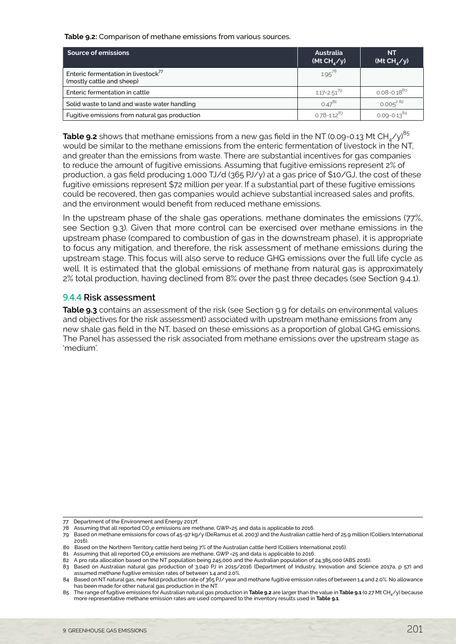**Table 9.2:** Comparison of methane emissions from various sources.

| <b>Source of emissions</b>                                                   | Australia<br>(Mt CH <sub>A</sub> /y) | <b>NT</b><br>(Mt CH <sub><math>_A</math>/y)</sub> |
|------------------------------------------------------------------------------|--------------------------------------|---------------------------------------------------|
| Enteric fermentation in livestock <sup>77</sup><br>(mostly cattle and sheep) | $1.95^{78}$                          |                                                   |
| Enteric fermentation in cattle                                               | $1.17 - 2.51^{9}$                    | $0.08 - 0.18^{80}$                                |
| Solid waste to land and waste water handling                                 | $0.47^{81}$                          | $0.005^{282}$                                     |
| Fugitive emissions from natural gas production                               | $0.78 - 1.12^{83}$                   | $0.09 - 0.13^{84}$                                |

**Table 9.2** shows that methane emissions from a new gas field in the NT (0.09-0.13 Mt CH<sub>4</sub>/y)<sup>85</sup> would be similar to the methane emissions from the enteric fermentation of livestock in the NT, and greater than the emissions from waste. There are substantial incentives for gas companies to reduce the amount of fugitive emissions. Assuming that fugitive emissions represent 2% of production, a gas field producing 1,000 TJ/d (365 PJ/y) at a gas price of \$10/GJ, the cost of these fugitive emissions represent \$72 million per year. If a substantial part of these fugitive emissions could be recovered, then gas companies would achieve substantial increased sales and profits, and the environment would benefit from reduced methane emissions.

In the upstream phase of the shale gas operations, methane dominates the emissions (77%, see Section 9.3). Given that more control can be exercised over methane emissions in the upstream phase (compared to combustion of gas in the downstream phase), it is appropriate to focus any mitigation, and therefore, the risk assessment of methane emissions during the upstream stage. This focus will also serve to reduce GHG emissions over the full life cycle as well. It is estimated that the global emissions of methane from natural gas is approximately 2% total production, having declined from 8% over the past three decades (see Section 9.4.1).

#### 9.4.4 **Risk assessment**

**Table 9.3** contains an assessment of the risk (see Section 9.9 for details on environmental values and objectives for the risk assessment) associated with upstream methane emissions from any new shale gas field in the NT, based on these emissions as a proportion of global GHG emissions. The Panel has assessed the risk associated from methane emissions over the upstream stage as 'medium'.

<sup>77</sup> Department of the Environment and Energy 2017f.

<sup>78</sup> Assuming that all reported CO<sub>2</sub>e emissions are methane, GWP=25 and data is applicable to 2016

<sup>79</sup> Based on methane emissions for cows of 45-97 kg/y (DeRamus et al. 2003) and the Australian cattle herd of 25.9 million (Colliers International 2016).

<sup>80</sup> Based on the Northern Territory cattle herd being 7% of the Australian cattle herd (Colliers International 2016).

<sup>81</sup> Assuming that all reported CO<sub>2</sub>e emissions are methane, GWP = 25 and data is applicable to 2016.

<sup>82</sup> A pro rata allocation based on the NT population being 245,000 and the Australian population of 24,385,000 (ABS 2016).

<sup>83</sup> Based on Australian natural gas production of 3,040 PJ in 2015/2016 (Department of Industry, Innovation and Science 2017a, p 57) and assumed methane fugitive emission rates of between 1.4 and 2.0%.

<sup>84</sup> Based on NT natural gas, new field production rate of 365 PJ/ year and methane fugitive emission rates of between 1.4 and 2.0%. No allowance has been made for other natural gas production in the NT.

<sup>85</sup> The range of fugitive emissions forAustralian natural gas production in **Table 9.2** are larger than the value in **Table 9.1** (0.27 Mt CH4/y) because more representative methane emission rates are used compared to the inventory results used in **Table 9.1**.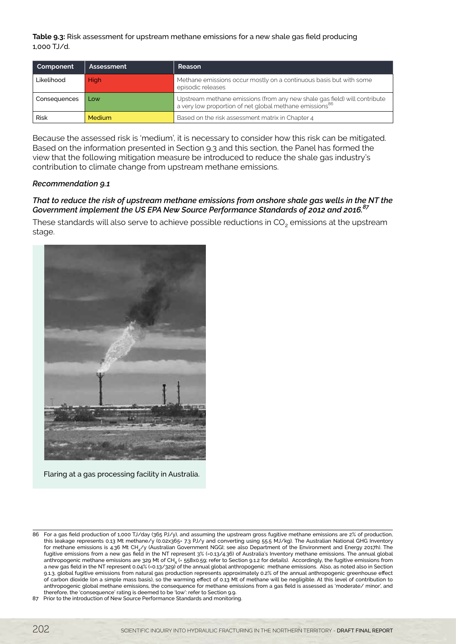**Table 9.3:** Risk assessment for upstream methane emissions for a new shale gas field producing 1,000 TJ/d.

| Component    | Assessment    | Reason                                                                                                                                           |
|--------------|---------------|--------------------------------------------------------------------------------------------------------------------------------------------------|
| Likelihood   | <b>High</b>   | Methane emissions occur mostly on a continuous basis but with some<br>episodic releases                                                          |
| Consequences | Low           | Upstream methane emissions (from any new shale gas field) will contribute<br>a very low proportion of net global methane emissions <sup>86</sup> |
| <b>Risk</b>  | <b>Medium</b> | Based on the risk assessment matrix in Chapter 4                                                                                                 |

Because the assessed risk is 'medium', it is necessary to consider how this risk can be mitigated. Based on the information presented in Section 9.3 and this section, the Panel has formed the view that the following mitigation measure be introduced to reduce the shale gas industry's contribution to climate change from upstream methane emissions.

#### *Recommendation 9.1*

#### *That to reduce the risk of upstream methane emissions from onshore shale gas wells in the NT the Government implement the US EPA New Source Performance Standards of 2012 and 2016.87*

These standards will also serve to achieve possible reductions in CO<sub>2</sub> emissions at the upstream stage.



Flaring at a gas processing facility in Australia.

87 Prior to the introduction of New Source Performance Standards and monitoring.

<sup>86</sup> For a gas field production of 1,000 TJ/day (365 PJ/y), and assuming the upstream gross fugitive methane emissions are 2% of production, this leakage represents 0.13 Mt methane/y (0.02x365= 7.3 PJ/y and converting using 55.5 MJ/kg). The Australian National GHG Inventory for methane emissions is 4.36 Mt CH<sub>4</sub>/y (Australian Government NGGI; see also Department of the Environment and Energy 2017h). The fugitive emissions from a new gas field in the NT represent 3% (=0.13/4.36) of Australia's Inventory methane emissions. The annual global anthropogenic methane emissions are 329 Mt of CH<sub>4</sub> (= 558x0.59; refer to Section 9.1.2 for details). Accordingly, the fugitive emissions from a new gas field in the NT represent 0.04% (=0.13/329) of the annual global anthropogenic methane emissions. Also, as noted also in Section 9.1.3, global fugitive emissions from natural gas production represents approximately 0.2% of the annual anthropogenic greenhouse effect of carbon dioxide (on a simple mass basis), so the warming effect of 0.13 Mt of methane will be negligible. At this level of contribution to anthropogenic global methane emissions, the consequence for methane emissions from a gas field is assessed as 'moderate/ minor', and therefore, the 'consequence' rating is deemed to be 'low': refer to Section 9.9.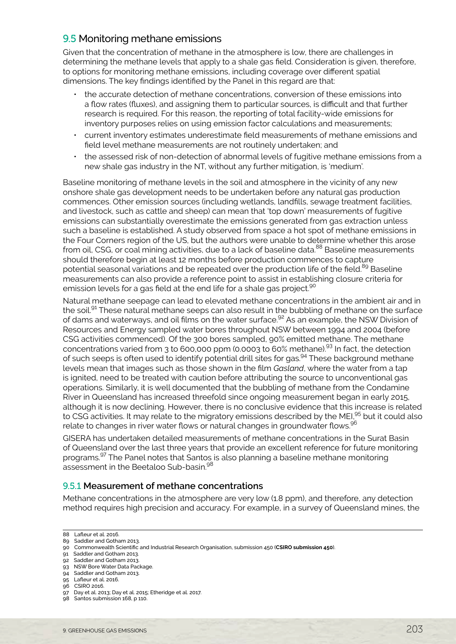# <span id="page-12-0"></span>9.5 Monitoring methane emissions

Given that the concentration of methane in the atmosphere is low, there are challenges in determining the methane levels that apply to a shale gas field. Consideration is given, therefore, to options for monitoring methane emissions, including coverage over different spatial dimensions. The key findings identified by the Panel in this regard are that:

- the accurate detection of methane concentrations, conversion of these emissions into a flow rates (fluxes), and assigning them to particular sources, is difficult and that further research is required. For this reason, the reporting of total facility-wide emissions for inventory purposes relies on using emission factor calculations and measurements;
- current inventory estimates underestimate field measurements of methane emissions and field level methane measurements are not routinely undertaken; and
- the assessed risk of non-detection of abnormal levels of fugitive methane emissions from a new shale gas industry in the NT, without any further mitigation, is 'medium'.

Baseline monitoring of methane levels in the soil and atmosphere in the vicinity of any new onshore shale gas development needs to be undertaken before any natural gas production commences. Other emission sources (including wetlands, landfills, sewage treatment facilities, and livestock, such as cattle and sheep) can mean that 'top down' measurements of fugitive emissions can substantially overestimate the emissions generated from gas extraction unless such a baseline is established. A study observed from space a hot spot of methane emissions in the Four Corners region of the US, but the authors were unable to determine whether this arose from oil, CSG, or coal mining activities, due to a lack of baseline data.<sup>88</sup> Baseline measurements should therefore begin at least 12 months before production commences to capture potential seasonal variations and be repeated over the production life of the field.<sup>89</sup> Baseline measurements can also provide a reference point to assist in establishing closure criteria for emission levels for a gas field at the end life for a shale gas project.<sup>90</sup>

Natural methane seepage can lead to elevated methane concentrations in the ambient air and in the soil.<sup>91</sup> These natural methane seeps can also result in the bubbling of methane on the surface of dams and waterways, and oil films on the water surface.<sup>92</sup> As an example, the NSW Division of Resources and Energy sampled water bores throughout NSW between 1994 and 2004 (before CSG activities commenced). Of the 300 bores sampled, 90% emitted methane. The methane concentrations varied from 3 to 600,000 ppm (0.0003 to 60% methane).<sup>93</sup> In fact, the detection of such seeps is often used to identify potential drill sites for gas.94 These background methane levels mean that images such as those shown in the film *Gasland*, where the water from a tap is ignited, need to be treated with caution before attributing the source to unconventional gas operations. Similarly, it is well documented that the bubbling of methane from the Condamine River in Queensland has increased threefold since ongoing measurement began in early 2015, although it is now declining. However, there is no conclusive evidence that this increase is related to CSG activities. It may relate to the migratory emissions described by the MEI,<sup>95</sup> but it could also relate to changes in river water flows or natural changes in groundwater flows.<sup>96</sup>

GISERA has undertaken detailed measurements of methane concentrations in the Surat Basin of Queensland over the last three years that provide an excellent reference for future monitoring programs.97 The Panel notes that Santos is also planning a baseline methane monitoring assessment in the Beetaloo Sub-basin.<sup>98</sup>

#### 9.5.1 **Measurement of methane concentrations**

Methane concentrations in the atmosphere are very low (1.8 ppm), and therefore, any detection method requires high precision and accuracy. For example, in a survey of Queensland mines, the

<sup>88</sup> Lafleur et al. 2016.

<sup>89</sup> Saddler and Gotham 2013.

<sup>90</sup> Commonwealth Scientific and Industrial Research Organisation, submission 450 (**CSIRO submission 450**).

<sup>91</sup> Saddler and Gotham 2013.

<sup>92</sup> Saddler and Gotham 2013.

<sup>93</sup> NSW Bore Water Data Package. 94 Saddler and Gotham 2013.

<sup>95</sup> Lafleur et al. 2016.

<sup>96</sup> CSIRO 2016.

<sup>97</sup> Day et al. 2013; Day et al. 2015; Etheridge et al. 2017.

<sup>98</sup> Santos submission 168, p 110.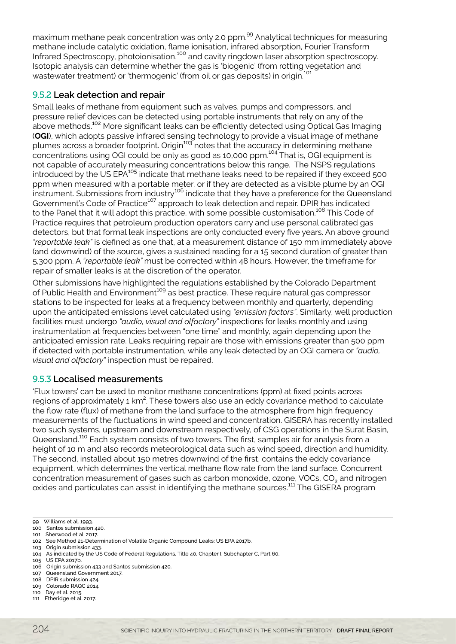maximum methane peak concentration was only 2.0 ppm.<sup>99</sup> Analytical techniques for measuring methane include catalytic oxidation, flame ionisation, infrared absorption, Fourier Transform Infrared Spectroscopy, photoionisation,<sup>100</sup> and cavity ringdown laser absorption spectroscopy. Isotopic analysis can determine whether the gas is 'biogenic' (from rotting vegetation and wastewater treatment) or 'thermogenic' (from oil or gas deposits) in origin.<sup>101</sup>

#### 9.5.2 **Leak detection and repair**

Small leaks of methane from equipment such as valves, pumps and compressors, and pressure relief devices can be detected using portable instruments that rely on any of the above methods.<sup>102</sup> More significant leaks can be efficiently detected using Optical Gas Imaging (**OGI**), which adopts passive infrared sensing technology to provide a visual image of methane plumes across a broader footprint. Origin<sup>103</sup> notes that the accuracy in determining methane concentrations using OGI could be only as good as 10,000 ppm.104 That is, OGI equipment is not capable of accurately measuring concentrations below this range. The NSPS regulations introduced by the US EPA<sup>105</sup> indicate that methane leaks need to be repaired if they exceed 500 ppm when measured with a portable meter, or if they are detected as a visible plume by an OGI ppm mion measured mand portable motor, or in any are detected as a noiste plains by an our instrument. Submissions from industry<sup>106</sup> indicate that they have a preference for the Queensland Government's Code of Practice<sup>107</sup> approach to leak detection and repair. DPIR has indicated to the Panel that it will adopt this practice, with some possible customisation.<sup>108</sup> This Code of Practice requires that petroleum production operators carry and use personal calibrated gas detectors, but that formal leak inspections are only conducted every five years. An above ground *"reportable leak"* is defined as one that, at a measurement distance of 150 mm immediately above (and downwind) of the source, gives a sustained reading for a 15 second duration of greater than 5,300 ppm. A *"reportable leak"* must be corrected within 48 hours. However, the timeframe for repair of smaller leaks is at the discretion of the operator.

Other submissions have highlighted the regulations established by the Colorado Department of Public Health and Environment<sup>109</sup> as best practice. These require natural gas compressor stations to be inspected for leaks at a frequency between monthly and quarterly, depending upon the anticipated emissions level calculated using *"emission factors"*. Similarly, well production facilities must undergo *"audio, visual and olfactory"* inspections for leaks monthly and using instrumentation at frequencies between "one time" and monthly, again depending upon the anticipated emission rate. Leaks requiring repair are those with emissions greater than 500 ppm if detected with portable instrumentation, while any leak detected by an OGI camera or *"audio, visual and olfactory"* inspection must be repaired.

#### 9.5.3 **Localised measurements**

'Flux towers' can be used to monitor methane concentrations (ppm) at fixed points across regions of approximately 1 km<sup>2</sup>. These towers also use an eddy covariance method to calculate the flow rate (flux) of methane from the land surface to the atmosphere from high frequency measurements of the fluctuations in wind speed and concentration. GISERA has recently installed two such systems, upstream and downstream respectively, of CSG operations in the Surat Basin, Queensland.110 Each system consists of two towers. The first, samples air for analysis from a height of 10 m and also records meteorological data such as wind speed, direction and humidity. The second, installed about 150 metres downwind of the first, contains the eddy covariance equipment, which determines the vertical methane flow rate from the land surface. Concurrent concentration measurement of gases such as carbon monoxide, ozone, VOCs, CO<sub>2</sub> and nitrogen oxides and particulates can assist in identifying the methane sources.<sup>111</sup> The GISERA program

<sup>99</sup> Williams et al. 1993.

<sup>100</sup> Santos submission 420. 101 Sherwood et al. 2017.

<sup>102</sup> See Method 21-Determination of Volatile Organic Compound Leaks: US EPA 2017b.

<sup>103</sup> Origin submission 433.

<sup>104</sup> As indicated by the US Code of Federal Regulations, Title 40, Chapter I, Subchapter C, Part 60.

<sup>105</sup> US EPA 2017b.

<sup>106</sup> Origin submission 433 and Santos submission 420.

<sup>107</sup> Queensland Government 2017.

<sup>108</sup> DPIR submission 424.

<sup>109</sup> Colorado RAQC 2014. 110 Day et al. 2015.

<sup>111</sup> Etheridge et al. 2017.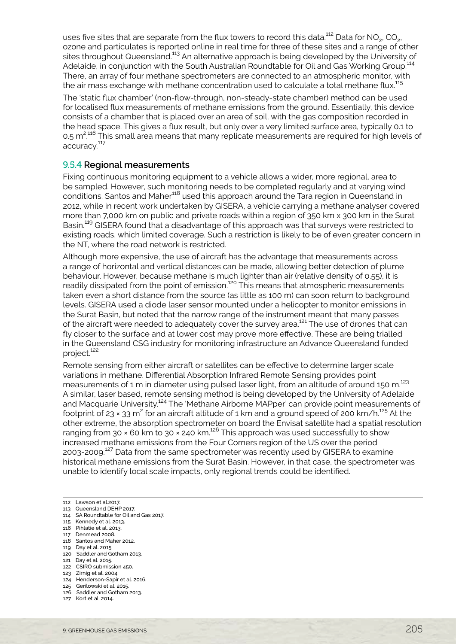uses five sites that are separate from the flux towers to record this data.<sup>112</sup> Data for NO<sub>2</sub>, CO<sub>2</sub>, ozone and particulates is reported online in real time for three of these sites and a range of other sites throughout Queensland.<sup>113</sup> An alternative approach is being developed by the University of Adelaide, in conjunction with the South Australian Roundtable for Oil and Gas Working Group.<sup>114</sup> There, an array of four methane spectrometers are connected to an atmospheric monitor, with the air mass exchange with methane concentration used to calculate a total methane flux.<sup>115</sup>

The 'static flux chamber' (non-flow-through, non-steady-state chamber) method can be used for localised flux measurements of methane emissions from the ground. Essentially, this device consists of a chamber that is placed over an area of soil, with the gas composition recorded in the head space. This gives a flux result, but only over a very limited surface area, typically 0.1 to 0.5 m<sup>2,116</sup> This small area means that many replicate measurements are required for high levels of . accuracy.<sup>117</sup>

#### 9.5.4 **Regional measurements**

Fixing continuous monitoring equipment to a vehicle allows a wider, more regional, area to be sampled. However, such monitoring needs to be completed regularly and at varying wind conditions. Santos and Maher118 used this approach around the Tara region in Queensland in 2012, while in recent work undertaken by GISERA, a vehicle carrying a methane analyser covered more than 7,000 km on public and private roads within a region of 350 km x 300 km in the Surat Basin.<sup>119</sup> GISERA found that a disadvantage of this approach was that surveys were restricted to existing roads, which limited coverage. Such a restriction is likely to be of even greater concern in the NT, where the road network is restricted.

Although more expensive, the use of aircraft has the advantage that measurements across a range of horizontal and vertical distances can be made, allowing better detection of plume behaviour. However, because methane is much lighter than air (relative density of 0.55), it is readily dissipated from the point of emission.<sup>120</sup> This means that atmospheric measurements taken even a short distance from the source (as little as 100 m) can soon return to background levels. GISERA used a diode laser sensor mounted under a helicopter to monitor emissions in the Surat Basin, but noted that the narrow range of the instrument meant that many passes of the aircraft were needed to adequately cover the survey area.<sup>121</sup> The use of drones that can fly closer to the surface and at lower cost may prove more effective. These are being trialled in the Queensland CSG industry for monitoring infrastructure an Advance Queensland funded project.<sup>122</sup>

Remote sensing from either aircraft or satellites can be effective to determine larger scale variations in methane. Differential Absorption Infrared Remote Sensing provides point measurements of 1 m in diameter using pulsed laser light, from an altitude of around 150 m.<sup>123</sup> A similar, laser based, remote sensing method is being developed by the University of Adelaide and Macquarie University.124 The 'Methane Airborne MAPper' can provide point measurements of footprint of 23 × 33 m<sup>2</sup> for an aircraft altitude of 1 km and a ground speed of 200 km/h.<sup>125</sup> At the other extreme, the absorption spectrometer on board the Envisat satellite had a spatial resolution ranging from 30  $\times$  60 km to 30  $\times$  240 km.<sup>126</sup> This approach was used successfully to show increased methane emissions from the Four Corners region of the US over the period 2003-2009.127 Data from the same spectrometer was recently used by GISERA to examine historical methane emissions from the Surat Basin. However, in that case, the spectrometer was unable to identify local scale impacts, only regional trends could be identified.

- 114 SA Roundtable for Oil and Gas 2017. 115 Kennedy et al. 2013.
- 116 Pihlatie et al. 2013.
- 117 Denmead 2008.
- 118 Santos and Maher 2012.
- 119 Day et al. 2015.
- 120 Saddler and Gotham 2013.
- 121 Day et al. 2015.
- 122 CSIRO submission 450.
- 123 Zirnig et al. 2004.
- 124 Henderson-Sapir et al. 2016. 125 Gerilowski et al. 2015.
- 126 Saddler and Gotham 2013.
- 127 Kort et al. 2014.

<sup>112</sup> Lawson et al.2017.

<sup>113</sup> Queensland DEHP 2017.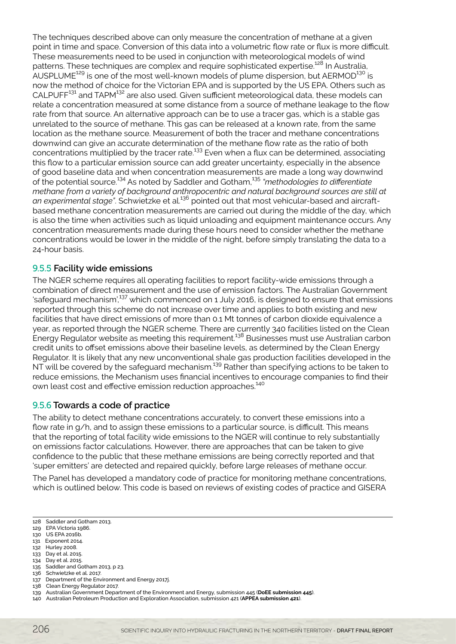The techniques described above can only measure the concentration of methane at a given point in time and space. Conversion of this data into a volumetric flow rate or flux is more difficult. These measurements need to be used in conjunction with meteorological models of wind patterns. These techniques are complex and require sophisticated expertise.<sup>128</sup> In Australia, AUSPLUME<sup>129</sup> is one of the most well-known models of plume dispersion, but  $AERMOD^{130}$  is now the method of choice for the Victorian EPA and is supported by the US EPA. Others such as CALPUFF<sup>131</sup> and TAPM<sup>132</sup> are also used. Given sufficient meteorological data, these models can relate a concentration measured at some distance from a source of methane leakage to the flow rate from that source. An alternative approach can be to use a tracer gas, which is a stable gas unrelated to the source of methane. This gas can be released at a known rate, from the same location as the methane source. Measurement of both the tracer and methane concentrations downwind can give an accurate determination of the methane flow rate as the ratio of both concentrations multiplied by the tracer rate.<sup>133</sup> Even when a flux can be determined, associating this flow to a particular emission source can add greater uncertainty, especially in the absence of good baseline data and when concentration measurements are made a long way downwind of the potential source.134 As noted by Saddler and Gotham,135 *"methodologies to differentiate methane from a variety of background anthropocentric and natural background sources are still at an experimental stage"*. Schwietzke et al.136 pointed out that most vehicular-based and aircraftbased methane concentration measurements are carried out during the middle of the day, which is also the time when activities such as liquid unloading and equipment maintenance occurs. Any concentration measurements made during these hours need to consider whether the methane concentrations would be lower in the middle of the night, before simply translating the data to a 24-hour basis.

#### 9.5.5 **Facility wide emissions**

The NGER scheme requires all operating facilities to report facility-wide emissions through a combination of direct measurement and the use of emission factors. The Australian Government 'safequard mechanism',<sup>137</sup> which commenced on 1 July 2016, is designed to ensure that emissions reported through this scheme do not increase over time and applies to both existing and new facilities that have direct emissions of more than 0.1 Mt tonnes of carbon dioxide equivalence a year, as reported through the NGER scheme. There are currently 340 facilities listed on the Clean Energy Regulator website as meeting this requirement.<sup>138</sup> Businesses must use Australian carbon credit units to offset emissions above their baseline levels, as determined by the Clean Energy Regulator. It is likely that any new unconventional shale gas production facilities developed in the NT will be covered by the safeguard mechanism.<sup>139</sup> Rather than specifying actions to be taken to reduce emissions, the Mechanism uses financial incentives to encourage companies to find their own least cost and effective emission reduction approaches.<sup>140</sup>

#### 9.5.6 **Towards a code of practice**

The ability to detect methane concentrations accurately, to convert these emissions into a flow rate in g/h, and to assign these emissions to a particular source, is difficult. This means that the reporting of total facility wide emissions to the NGER will continue to rely substantially on emissions factor calculations. However, there are approaches that can be taken to give confidence to the public that these methane emissions are being correctly reported and that 'super emitters' are detected and repaired quickly, before large releases of methane occur.

The Panel has developed a mandatory code of practice for monitoring methane concentrations, which is outlined below. This code is based on reviews of existing codes of practice and GISERA

- 129 EPA Victoria 1986.
- 130 US EPA 2016b.
- 131 Exponent 2014.
- 132 Hurley 2008. 133 Day et al. 2015.
- 134 Day et al. 2015.
- 135 Saddler and Gotham 2013, p 23.
- 136 Schwietzke et al. 2017.
- 137 Department of the Environment and Energy 2017j.
- 138 Clean Energy Regulator 2017.
- 139 Australian Government Department of the Environment and Energy, submission 445 (**DoEE submission 445**).
- 140 Australian Petroleum Production and Exploration Association, submission 421 (**APPEA submission 421**).

<sup>128</sup> Saddler and Gotham 2013.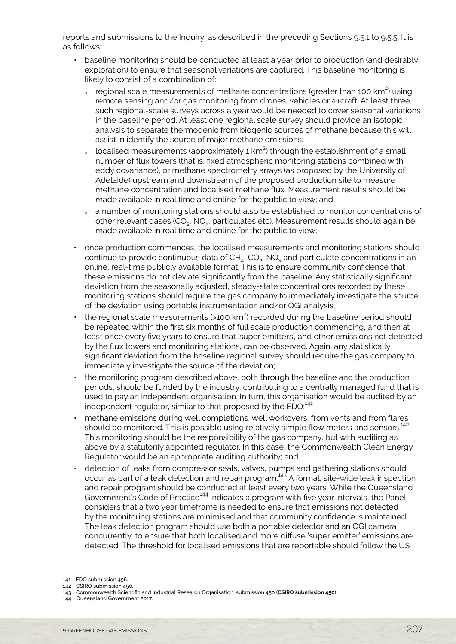reports and submissions to the Inquiry, as described in the preceding Sections 9.5.1 to 9.5.5. It is as follows:

- baseline monitoring should be conducted at least a year prior to production (and desirably exploration) to ensure that seasonal variations are captured. This baseline monitoring is likely to consist of a combination of:
	- $\,$  regional scale measurements of methane concentrations (greater than 100 km<sup>2</sup>) using remote sensing and/or gas monitoring from drones, vehicles or aircraft. At least three such regional-scale surveys across a year would be needed to cover seasonal variations in the baseline period. At least one regional scale survey should provide an isotopic analysis to separate thermogenic from biogenic sources of methane because this will assist in identify the source of major methane emissions;
	- $\,$  localised measurements (approximately 1 km<sup>2</sup>) through the establishment of a small number of flux towers (that is, fixed atmospheric monitoring stations combined with eddy covariance), or methane spectrometry arrays (as proposed by the University of Adelaide) upstream and downstream of the proposed production site to measure methane concentration and localised methane flux. Measurement results should be made available in real time and online for the public to view; and
	- <sup>Ȉ</sup> a number of monitoring stations should also be established to monitor concentrations of other relevant gases (CO<sub>2</sub>, NO<sub>2</sub>, particulates etc). Measurement results should again be made available in real time and online for the public to view;
- once production commences, the localised measurements and monitoring stations should continue to provide continuous data of  $CH_{4}$ ,  $CO_{2}$ , NO<sub>x</sub> and particulate concentrations in an online, real-time publicly available format. This is to ensure community confidence that these emissions do not deviate significantly from the baseline. Any statistically significant deviation from the seasonally adjusted, steady-state concentrations recorded by these monitoring stations should require the gas company to immediately investigate the source of the deviation using portable instrumentation and/or OGI analysis;
- $\cdot$  the regional scale measurements (>100 km<sup>2</sup>) recorded during the baseline period should be repeated within the first six months of full scale production commencing, and then at least once every five years to ensure that 'super emitters', and other emissions not detected by the flux towers and monitoring stations, can be observed. Again, any statistically significant deviation from the baseline regional survey should require the gas company to immediately investigate the source of the deviation;
- the monitoring program described above, both through the baseline and the production periods, should be funded by the industry, contributing to a centrally managed fund that is used to pay an independent organisation. In turn, this organisation would be audited by an independent regulator, similar to that proposed by the EDO;<sup>141</sup>
- methane emissions during well completions, well workovers, from vents and from flares should be monitored. This is possible using relatively simple flow meters and sensors.<sup>142</sup> This monitoring should be the responsibility of the gas company, but with auditing as above by a statutorily appointed regulator. In this case, the Commonwealth Clean Energy Regulator would be an appropriate auditing authority; and
- detection of leaks from compressor seals, valves, pumps and gathering stations should occur as part of a leak detection and repair program.143 A formal, site-wide leak inspection and repair program should be conducted at least every two years. While the Queensland Government's Code of Practice<sup>144</sup> indicates a program with five year intervals, the Panel considers that a two year timeframe is needed to ensure that emissions not detected by the monitoring stations are minimised and that community confidence is maintained. The leak detection program should use both a portable detector and an OGI camera concurrently, to ensure that both localised and more diffuse 'super emitter' emissions are detected. The threshold for localised emissions that are reportable should follow the US

<sup>141</sup> EDO submission 456.

<sup>142</sup> CSIRO submission 450.

<sup>143</sup> Commonwealth Scientific and Industrial Research Organisation, submission 450 (**CSIRO submission 450**).

<sup>144</sup> Queensland Government 2017.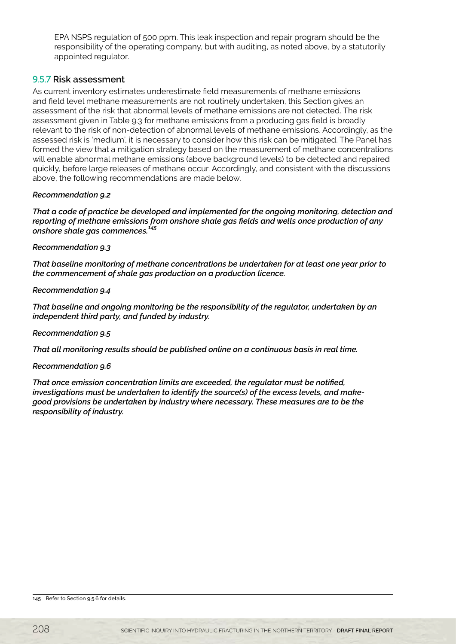EPA NSPS regulation of 500 ppm. This leak inspection and repair program should be the responsibility of the operating company, but with auditing, as noted above, by a statutorily appointed regulator.

#### 9.5.7 **Risk assessment**

As current inventory estimates underestimate field measurements of methane emissions and field level methane measurements are not routinely undertaken, this Section gives an assessment of the risk that abnormal levels of methane emissions are not detected. The risk assessment given in Table 9.3 for methane emissions from a producing gas field is broadly relevant to the risk of non-detection of abnormal levels of methane emissions. Accordingly, as the assessed risk is 'medium', it is necessary to consider how this risk can be mitigated. The Panel has formed the view that a mitigation strategy based on the measurement of methane concentrations will enable abnormal methane emissions (above background levels) to be detected and repaired quickly, before large releases of methane occur. Accordingly, and consistent with the discussions above, the following recommendations are made below.

#### *Recommendation 9.2*

*That a code of practice be developed and implemented for the ongoing monitoring, detection and reporting of methane emissions from onshore shale gas fields and wells once production of any onshore shale gas commences.145*

#### *Recommendation 9.3*

*That baseline monitoring of methane concentrations be undertaken for at least one year prior to the commencement of shale gas production on a production licence.*

#### *Recommendation 9.4*

*That baseline and ongoing monitoring be the responsibility of the regulator, undertaken by an independent third party, and funded by industry.*

#### *Recommendation 9.5*

*That all monitoring results should be published online on a continuous basis in real time.* 

#### *Recommendation 9.6*

*That once emission concentration limits are exceeded, the regulator must be notified, investigations must be undertaken to identify the source(s) of the excess levels, and makegood provisions be undertaken by industry where necessary. These measures are to be the responsibility of industry.*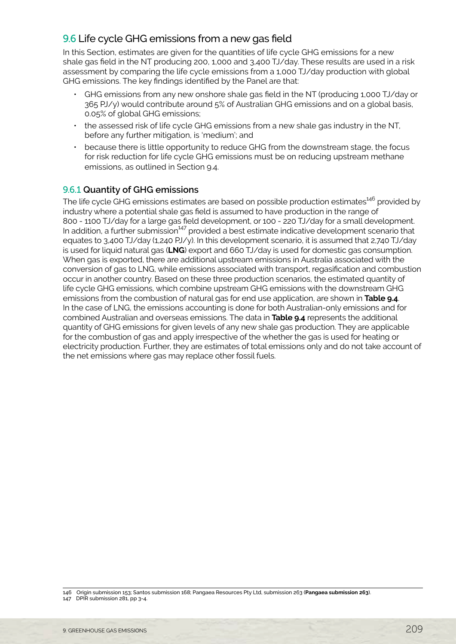# <span id="page-18-0"></span>9.6 Life cycle GHG emissions from a new gas field

In this Section, estimates are given for the quantities of life cycle GHG emissions for a new shale gas field in the NT producing 200, 1,000 and 3,400 TJ/day. These results are used in a risk assessment by comparing the life cycle emissions from a 1,000 TJ/day production with global GHG emissions. The key findings identified by the Panel are that:

- GHG emissions from any new onshore shale gas field in the NT (producing 1,000 TJ/day or 365 PJ/y) would contribute around 5% of Australian GHG emissions and on a global basis, 0.05% of global GHG emissions;
- the assessed risk of life cycle GHG emissions from a new shale gas industry in the NT, before any further mitigation, is 'medium'; and
- because there is little opportunity to reduce GHG from the downstream stage, the focus for risk reduction for life cycle GHG emissions must be on reducing upstream methane emissions, as outlined in Section 9.4.

# 9.6.1 **Quantity of GHG emissions**

The life cycle GHG emissions estimates are based on possible production estimates<sup>146</sup> provided by industry where a potential shale gas field is assumed to have production in the range of 800 - 1100 TJ/day for a large gas field development, or 100 - 220 TJ/day for a small development. In addition, a further submission $147$  provided a best estimate indicative development scenario that equates to 3,400 TJ/day (1,240 PJ/y). In this development scenario, it is assumed that 2,740 TJ/day is used for liquid natural gas (**LNG**) export and 660 TJ/day is used for domestic gas consumption. When gas is exported, there are additional upstream emissions in Australia associated with the conversion of gas to LNG, while emissions associated with transport, regasification and combustion occur in another country. Based on these three production scenarios, the estimated quantity of life cycle GHG emissions, which combine upstream GHG emissions with the downstream GHG emissions from the combustion of natural gas for end use application, are shown in **Table 9.4**. In the case of LNG, the emissions accounting is done for both Australian-only emissions and for combined Australian and overseas emissions. The data in **Table 9.4** represents the additional quantity of GHG emissions for given levels of any new shale gas production. They are applicable for the combustion of gas and apply irrespective of the whether the gas is used for heating or electricity production. Further, they are estimates of total emissions only and do not take account of the net emissions where gas may replace other fossil fuels.

<sup>146</sup> Origin submission 153; Santos submission 168; Pangaea Resources Pty Ltd, submission 263 (**Pangaea submission 263**). 147 DPIR submission 281, pp 3-4.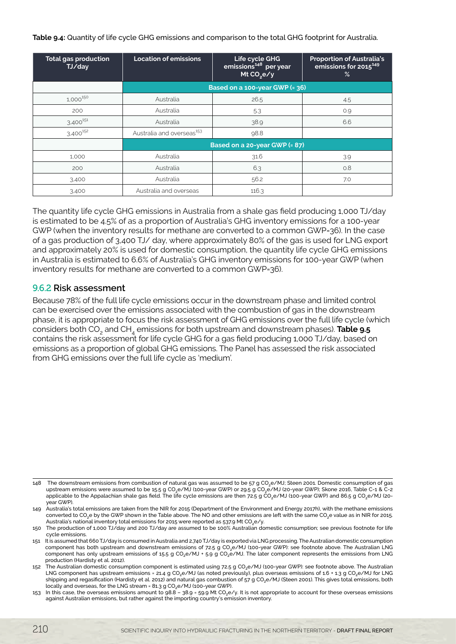#### Table 9.4: Quantity of life cycle GHG emissions and comparison to the total GHG footprint for Australia.

| <b>Total gas production</b><br>TJ/day | <b>Location of emissions</b>          | Life cycle GHG<br>emissions <sup>148</sup> per year<br>Mt CO <sub>2</sub> e/y | <b>Proportion of Australia's</b><br>emissions for 2015 <sup>149</sup><br>% |
|---------------------------------------|---------------------------------------|-------------------------------------------------------------------------------|----------------------------------------------------------------------------|
|                                       |                                       | Based on a 100-year GWP (= 36)                                                |                                                                            |
| 1,000 150                             | Australia                             | 26.5                                                                          | 4.5                                                                        |
| 200                                   | Australia                             | 5.3                                                                           | 0.9                                                                        |
| $3,400^{151}$                         | Australia                             | 38.9                                                                          | 6.6                                                                        |
| $3,400^{152}$                         | Australia and overseas <sup>153</sup> | 98.8                                                                          |                                                                            |
|                                       |                                       | Based on a 20-year GWP (= 87)                                                 |                                                                            |
| 1,000                                 | Australia                             | 31.6                                                                          | 3.9                                                                        |
| 200                                   | Australia                             | 6.3                                                                           | 0.8                                                                        |
| 3,400                                 | Australia                             | 56.2                                                                          | 7.0                                                                        |
| 3,400                                 | Australia and overseas                | 116.3                                                                         |                                                                            |

The quantity life cycle GHG emissions in Australia from a shale gas field producing 1,000 TJ/day is estimated to be 4.5% of as a proportion of Australia's GHG inventory emissions for a 100-year GWP (when the inventory results for methane are converted to a common GWP=36). In the case of a gas production of 3,400 TJ/ day, where approximately 80% of the gas is used for LNG export and approximately 20% is used for domestic consumption, the quantity life cycle GHG emissions in Australia is estimated to 6.6% of Australia's GHG inventory emissions for 100-year GWP (when inventory results for methane are converted to a common GWP=36).

#### 9.6.2 **Risk assessment**

Because 78% of the full life cycle emissions occur in the downstream phase and limited control can be exercised over the emissions associated with the combustion of gas in the downstream phase, it is appropriate to focus the risk assessment of GHG emissions over the full life cycle (which considers both CO<sub>2</sub> and CH<sub>4</sub> emissions for both upstream and downstream phases). **Table 9.5** contains the risk assessment for life cycle GHG for a gas field producing 1,000 TJ/day, based on emissions as a proportion of global GHG emissions. The Panel has assessed the risk associated from GHG emissions over the full life cycle as 'medium'.

<sup>148</sup> The downstream emissions from combustion of natural gas was assumed to be 57 g CO<sub>2</sub>e/MJ; Steen 2001. Domestic consumption of gas upstream emissions were assumed to be 15.5 g CO<sub>2</sub>e/MJ (100-year GWP) or 29.5 g CO<sub>2</sub>e/MJ (20-year GWP); Skone 2016, Table C-1 & C-2 applicable to the Appalachian shale gas field. The life cycle emissions are then 72.5 g CO<sub>2</sub>e/MJ (100-year GWP) and 86.5 g CO<sub>2</sub>e/MJ (20year GWP).

<sup>149</sup> Australia's total emissions are taken from the NIR for 2015 (Department of the Environment and Energy 2017h), with the methane emissions converted to CO<sub>2</sub>e by the GWP shown in the Table above. The NO and other emissions are left with the same CO<sub>2</sub>e value as in NIR for 2015. Australia's national inventory total emissions for 2015 were reported as 537.9 Mt CO<sub>2</sub>e/y.

<sup>150</sup> The production of 1,000 TJ/day and 200 TJ/day are assumed to be 100% Australian domestic consumption; see previous footnote for life cycle emissions.

<sup>151</sup> It is assumed that 660TJ/day is consumed inAustralia and 2,740TJ/day is exportedvia LNG processing.TheAustralian domestic consumption component has both upstream and downstream emissions of 72.5 g CO<sub>2</sub>e/MJ (100-year GWP): see footnote above. The Australian LNG component has only upstream emissions of 15.5 g CO<sub>2</sub>e/MJ + 5.9 g CO<sub>2</sub>e/MJ. The later component represents the emissions from LNG production (Hardisty et al. 2012).

<sup>152</sup> The Australian domestic consumption component is estimated using 72.5 g CO<sub>2</sub>e/MJ (100-year GWP): see footnote above. The Australian LNG component has upstream emissions = 21.4 g CO<sub>2</sub>e/MJ (as noted previously), plus overseas emissions of 1.6 + 1.3 g CO<sub>2</sub>e/MJ for LNG shipping and regasification (Hardisty et al. 2012) and natural gas combustion of 57 g CO<sub>2</sub>e/MJ (Steen 2001). This gives total emissions, both locally and overseas, for the LNG stream = 81.3 g CO<sub>2</sub>e/MJ (100-year GWP).

<sup>153</sup> In this case, the overseas emissions amount to 98.8 – 38.9 = 59.9 Mt CO2e/y. It is not appropriate to account for these overseas emissions against Australian emissions, but rather against the importing country's emission inventory.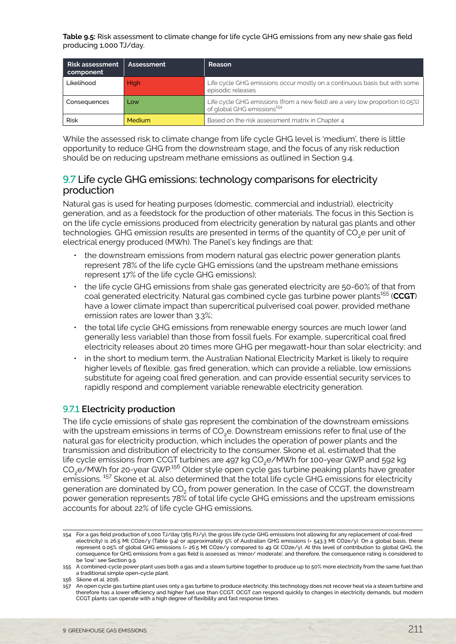<span id="page-20-0"></span>**Table 9.5:** Risk assessment to climate change for life cycle GHG emissions from any new shale gas field producing 1,000 TJ/day.

| <b>Risk assessment</b><br>component | Assessment | <b>Reason</b>                                                                                                           |
|-------------------------------------|------------|-------------------------------------------------------------------------------------------------------------------------|
| Likelihood                          | High       | Life cycle GHG emissions occur mostly on a continuous basis but with some<br>episodic releases                          |
| Consequences                        | Low        | Life cycle GHG emissions (from a new field) are a very low proportion (0.05%)<br>of global GHG emissions <sup>154</sup> |
| <b>Risk</b>                         | Medium     | Based on the risk assessment matrix in Chapter 4                                                                        |

While the assessed risk to climate change from life cycle GHG level is 'medium', there is little opportunity to reduce GHG from the downstream stage, and the focus of any risk reduction should be on reducing upstream methane emissions as outlined in Section 9.4.

# 9.7 Life cycle GHG emissions: technology comparisons for electricity production

Natural gas is used for heating purposes (domestic, commercial and industrial), electricity generation, and as a feedstock for the production of other materials. The focus in this Section is on the life cycle emissions produced from electricity generation by natural gas plants and other technologies. GHG emission results are presented in terms of the quantity of CO<sub>2</sub>e per unit of electrical energy produced (MWh). The Panel's key findings are that:

- the downstream emissions from modern natural gas electric power generation plants represent 78% of the life cycle GHG emissions (and the upstream methane emissions represent 17% of the life cycle GHG emissions);
- the life cycle GHG emissions from shale gas generated electricity are 50-60% of that from coal generated electricity. Natural gas combined cycle gas turbine power plants<sup>155</sup> (CCGT) have a lower climate impact than supercritical pulverised coal power, provided methane emission rates are lower than 3.3%;
- the total life cycle GHG emissions from renewable energy sources are much lower (and generally less variable) than those from fossil fuels. For example, supercritical coal fired electricity releases about 20 times more GHG per megawatt-hour than solar electricity; and
- in the short to medium term, the Australian National Electricity Market is likely to require higher levels of flexible, gas fired generation, which can provide a reliable, low emissions substitute for ageing coal fired generation, and can provide essential security services to rapidly respond and complement variable renewable electricity generation.

# 9.7.1 **Electricity production**

The life cycle emissions of shale gas represent the combination of the downstream emissions with the upstream emissions in terms of CO<sub>2</sub>e. Downstream emissions refer to final use of the natural gas for electricity production, which includes the operation of power plants and the transmission and distribution of electricity to the consumer. Skone et al. estimated that the life cycle emissions from CCGT turbines are 497 kg CO<sub>2</sub>e/MWh for 100-year GWP and 592 kg CO2e/MWh for 20-year GWP.156 Older style open cycle gas turbine peaking plants have greater emissions.<sup>157</sup> Skone et al. also determined that the total life cycle GHG emissions for electricity generation are dominated by CO<sub>2</sub> from power generation. In the case of CCGT, the downstream power generation represents 78% of total life cycle GHG emissions and the upstream emissions accounts for about 22% of life cycle GHG emissions.

<sup>154</sup> For a gas field production of 1,000 TJ/day (365 PJ/y), the gross life cycle GHG emissions (not allowing for any replacement of coal-fired electricity) is 26.5 Mt CO2e/y (Table 9.4) or approximately 5% of Australian GHG emissions (= 543.3 Mt CO2e/y). On a global basis, these represent 0.05% of global GHG emissions (= 26.5 Mt CO2e/y compared to 49 Gt CO2e/y). At this level of contribution to global GHG, the consequence for GHG emissions from a gas field is assessed as 'minor/ moderate', and therefore, the consequence rating is considered to be 'low': see Section 9.9.

<sup>155</sup> A combined-cycle power plant uses both a gas and a steam turbine together to produce up to 50% more electricity from the same fuel than a traditional simple open-cycle plant.

<sup>156</sup> Skone et al. 2016.

<sup>157</sup> An open cycle gas turbine plant uses only a gas turbine to produce electricity; this technology does not recover heat via a steam turbine and therefore has a lower efficiency and higher fuel use than CCGT. OCGT can respond quickly to changes in electricity demands, but modern CCGT plants can operate with a high degree of flexibility and fast response times.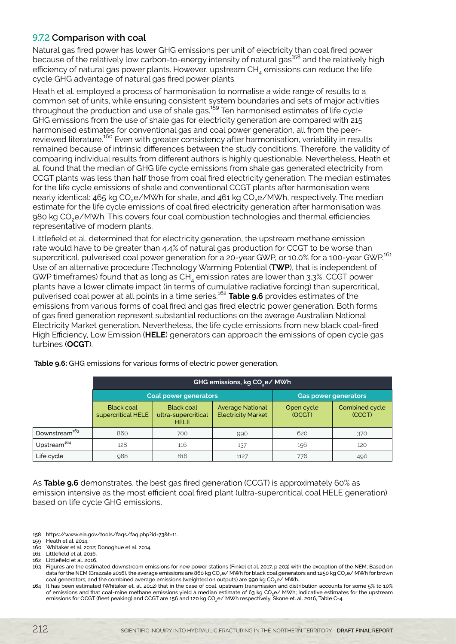# 9.7.2 **Comparison with coal**

Natural gas fired power has lower GHG emissions per unit of electricity than coal fired power because of the relatively low carbon-to-energy intensity of natural gas<sup>158</sup> and the relatively high efficiency of natural gas power plants. However, upstream  $CH<sub>A</sub>$  emissions can reduce the life cycle GHG advantage of natural gas fired power plants.

Heath et al. employed a process of harmonisation to normalise a wide range of results to a common set of units, while ensuring consistent system boundaries and sets of major activities throughout the production and use of shale gas. $159$  Ten harmonised estimates of life cycle GHG emissions from the use of shale gas for electricity generation are compared with 215 harmonised estimates for conventional gas and coal power generation, all from the peerreviewed literature.160 Even with greater consistency after harmonisation, variability in results remained because of intrinsic differences between the study conditions. Therefore, the validity of comparing individual results from different authors is highly questionable. Nevertheless, Heath et al. found that the median of GHG life cycle emissions from shale gas generated electricity from CCGT plants was less than half those from coal fired electricity generation. The median estimates for the life cycle emissions of shale and conventional CCGT plants after harmonisation were nearly identical: 465 kg CO<sub>2</sub>e/MWh for shale, and 461 kg CO<sub>2</sub>e/MWh, respectively. The median estimate for the life cycle emissions of coal fired electricity generation after harmonisation was 980 kg CO2e/MWh. This covers four coal combustion technologies and thermal efficiencies representative of modern plants.

Littlefield et al. determined that for electricity generation, the upstream methane emission rate would have to be greater than 4.4% of natural gas production for CCGT to be worse than supercritical, pulverised coal power generation for a 20-year GWP, or 10.0% for a 100-year GWP.<sup>161</sup> Use of an alternative procedure (Technology Warming Potential (**TWP**), that is independent of GWP timeframes) found that as long as  $CH<sub>4</sub>$  emission rates are lower than 3.3%, CCGT power plants have a lower climate impact (in terms of cumulative radiative forcing) than supercritical, pulverised coal power at all points in a time series.162 **Table 9.6** provides estimates of the emissions from various forms of coal fired and gas fired electric power generation. Both forms of gas fired generation represent substantial reductions on the average Australian National Electricity Market generation. Nevertheless, the life cycle emissions from new black coal-fired High Efficiency, Low Emission (**HELE**) generators can approach the emissions of open cycle gas turbines (**OCGT**).

|                           | GHG emissions, kg CO <sub>2</sub> e/ MWh |                                                         |                                                      |                             |                          |
|---------------------------|------------------------------------------|---------------------------------------------------------|------------------------------------------------------|-----------------------------|--------------------------|
|                           | Coal power generators                    |                                                         |                                                      | <b>Gas power generators</b> |                          |
|                           | <b>Black coal</b><br>supercritical HELE  | <b>Black coal</b><br>ultra-supercritical<br><b>HELE</b> | <b>Average National</b><br><b>Electricity Market</b> | Open cycle<br>(OCGT)        | Combined cycle<br>(CCGT) |
| Downstream <sup>163</sup> | 860                                      | 700                                                     | 990                                                  | 620                         | 370                      |
| Upstream <sup>164</sup>   | 128                                      | 116                                                     | 137                                                  | 156                         | 120                      |
| Life cycle                | 988                                      | 816                                                     | 1127                                                 | 776                         | 490                      |

 **Table 9.6:** GHG emissions for various forms of electric power generation.

As **Table 9.6** demonstrates, the best gas fired generation (CCGT) is approximately 60% as emission intensive as the most efficient coal fired plant (ultra-supercritical coal HELE generation) based on life cycle GHG emissions.

<sup>158</sup> https://www.eia.gov/tools/faqs/faq.php?id=73&t=11.

<sup>159</sup> Heath et al. 2014.

<sup>160</sup> Whitaker et al. 2012; Donoghue et al. 2014. 161 Littlefield et al. 2016.

<sup>162</sup> Littlefield et al. 2016.

<sup>163</sup> Figures are the estimated downstream emissions for new power stations (Finkel et.al. 2017, p 203) with the exception of the NEM; Based on data for the NEM (Brazzale 2016), the average emissions are 860 kg CO<sub>2</sub>e/ MWh for black coal generators and 1250 kg CO<sub>2</sub>e/ MWh for brown coal generators, and the combined average emissions (weighted on outputs) are 990 kg CO<sub>2</sub>e/ MWh.

<sup>164</sup> It has been estimated (Whitaker et. al. 2012) that in the case of coal, upstream transmission and distribution accounts for some 5% to 10% of emissions and that coal-mine methane emissions yield a median estimate of 63 kg CO2e/ MWh; Indicative estimates for the upstream emissions for OCGT (fleet peaking) and CCGT are 156 and 120 kg CO<sub>2</sub>e/ MWh respectively, Skone et. al. 2016, Table C-4.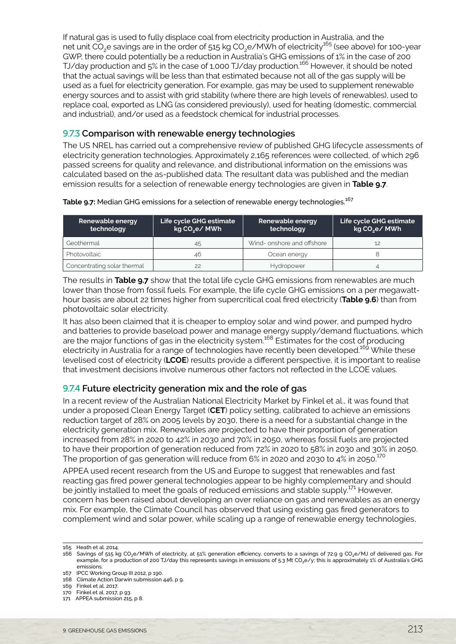If natural gas is used to fully displace coal from electricity production in Australia, and the net unit CO<sub>2</sub>e savings are in the order of 515 kg CO<sub>2</sub>e/MWh of electricity<sup>165</sup> (see above) for 100-year GWP, there could potentially be a reduction in Australia's GHG emissions of 1% in the case of 200 TJ/day production and 5% in the case of 1,000 TJ/day production.166 However, it should be noted that the actual savings will be less than that estimated because not all of the gas supply will be used as a fuel for electricity generation. For example, gas may be used to supplement renewable energy sources and to assist with grid stability (where there are high levels of renewables), used to replace coal, exported as LNG (as considered previously), used for heating (domestic, commercial and industrial), and/or used as a feedstock chemical for industrial processes.

#### 9.7.3 **Comparison with renewable energy technologies**

The US NREL has carried out a comprehensive review of published GHG lifecycle assessments of electricity generation technologies. Approximately 2,165 references were collected, of which 296 passed screens for quality and relevance, and distributional information on the emissions was calculated based on the as-published data. The resultant data was published and the median emission results for a selection of renewable energy technologies are given in **Table 9.7**.

Table 9.7: Median GHG emissions for a selection of renewable energy technologies.<sup>167</sup>

| Renewable energy<br>technology | Life cycle GHG estimate<br>kg CO <sub>2</sub> e/ MWh | Renewable energy<br>technology | Life cycle GHG estimate<br>kg CO <sub>2</sub> e/ MWh |
|--------------------------------|------------------------------------------------------|--------------------------------|------------------------------------------------------|
| Geothermal                     | 45                                                   | Wind-onshore and offshore      |                                                      |
| Photovoltaic                   | 46                                                   | Ocean energy                   |                                                      |
| Concentrating solar thermal    | 22                                                   | <b>Hydropower</b>              |                                                      |

The results in **Table 9.7** show that the total life cycle GHG emissions from renewables are much lower than those from fossil fuels. For example, the life cycle GHG emissions on a per megawatthour basis are about 22 times higher from supercritical coal fired electricity (**Table 9.6**) than from photovoltaic solar electricity.

It has also been claimed that it is cheaper to employ solar and wind power, and pumped hydro and batteries to provide baseload power and manage energy supply/demand fluctuations, which are the major functions of gas in the electricity system.<sup>168</sup> Estimates for the cost of producing electricity in Australia for a range of technologies have recently been developed.<sup>169</sup> While these levelised cost of electricity (**LCOE**) results provide a different perspective, it is important to realise that investment decisions involve numerous other factors not reflected in the LCOE values.

#### 9.7.4 **Future electricity generation mix and the role of gas**

In a recent review of the Australian National Electricity Market by Finkel et al., it was found that under a proposed Clean Energy Target (**CET**) policy setting, calibrated to achieve an emissions reduction target of 28% on 2005 levels by 2030, there is a need for a substantial change in the electricity generation mix. Renewables are projected to have their proportion of generation increased from 28% in 2020 to 42% in 2030 and 70% in 2050, whereas fossil fuels are projected to have their proportion of generation reduced from 72% in 2020 to 58% in 2030 and 30% in 2050. The proportion of gas generation will reduce from 6% in 2020 and 2030 to 4% in 2050.<sup>170</sup>

APPEA used recent research from the US and Europe to suggest that renewables and fast reacting gas fired power general technologies appear to be highly complementary and should be jointly installed to meet the goals of reduced emissions and stable supply.<sup>171</sup> However, concern has been raised about developing an over reliance on gas and renewables as an energy mix. For example, the Climate Council has observed that using existing gas fired generators to complement wind and solar power, while scaling up a range of renewable energy technologies,

<sup>165</sup> Heath et al. 2014.

<sup>166</sup> Savings of 515 kg CO2e/MWh of electricity, at 51% generation efficiency, converts to a savings of 72.9 g CO2e/MJ of delivered gas. For example, for a production of 200 TJ/day this represents savings in emissions of 5.3 Mt CO<sub>2</sub>e/y; this is approximately 1% of Australia's GHG emissions.

<sup>167</sup> IPCC Working Group III 2012, p 190.

<sup>168</sup> Climate Action Darwin submission 446, p 9.

<sup>169</sup> Finkel et al. 2017.

<sup>170</sup> Finkel et al. 2017, p 93.

<sup>171</sup> APPEA submission 215, p 8.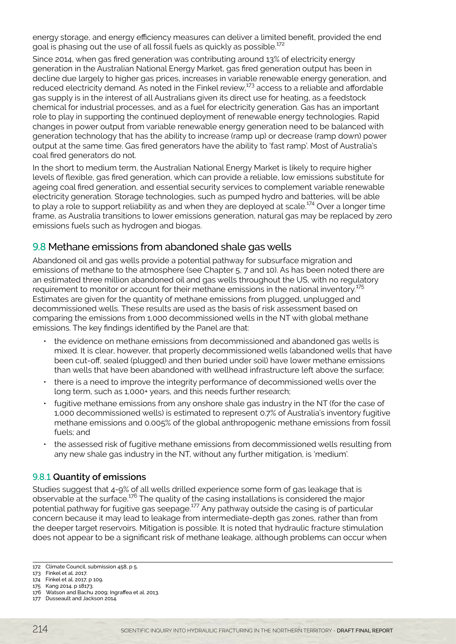<span id="page-23-0"></span>energy storage, and energy efficiency measures can deliver a limited benefit, provided the end goal is phasing out the use of all fossil fuels as quickly as possible.<sup>172</sup>

Since 2014, when gas fired generation was contributing around 13% of electricity energy generation in the Australian National Energy Market, gas fired generation output has been in decline due largely to higher gas prices, increases in variable renewable energy generation, and reduced electricity demand. As noted in the Finkel review,<sup>173</sup> access to a reliable and affordable gas supply is in the interest of all Australians given its direct use for heating, as a feedstock chemical for industrial processes, and as a fuel for electricity generation. Gas has an important role to play in supporting the continued deployment of renewable energy technologies. Rapid changes in power output from variable renewable energy generation need to be balanced with generation technology that has the ability to increase (ramp up) or decrease (ramp down) power output at the same time. Gas fired generators have the ability to 'fast ramp'. Most of Australia's coal fired generators do not.

In the short to medium term, the Australian National Energy Market is likely to require higher levels of flexible, gas fired generation, which can provide a reliable, low emissions substitute for ageing coal fired generation, and essential security services to complement variable renewable electricity generation. Storage technologies, such as pumped hydro and batteries, will be able to play a role to support reliability as and when they are deployed at scale.<sup>174</sup> Over a longer time frame, as Australia transitions to lower emissions generation, natural gas may be replaced by zero emissions fuels such as hydrogen and biogas.

# 9.8 Methane emissions from abandoned shale gas wells

Abandoned oil and gas wells provide a potential pathway for subsurface migration and emissions of methane to the atmosphere (see Chapter 5, 7 and 10). As has been noted there are an estimated three million abandoned oil and gas wells throughout the US, with no regulatory requirement to monitor or account for their methane emissions in the national inventory.<sup>175</sup> Estimates are given for the quantity of methane emissions from plugged, unplugged and decommissioned wells. These results are used as the basis of risk assessment based on comparing the emissions from 1,000 decommissioned wells in the NT with global methane emissions. The key findings identified by the Panel are that:

- the evidence on methane emissions from decommissioned and abandoned gas wells is mixed. It is clear, however, that properly decommissioned wells (abandoned wells that have been cut-off, sealed (plugged) and then buried under soil) have lower methane emissions than wells that have been abandoned with wellhead infrastructure left above the surface;
- there is a need to improve the integrity performance of decommissioned wells over the long term, such as 1,000+ years, and this needs further research;
- fugitive methane emissions from any onshore shale gas industry in the NT (for the case of 1,000 decommissioned wells) is estimated to represent 0.7% of Australia's inventory fugitive methane emissions and 0.005% of the global anthropogenic methane emissions from fossil fuels; and
- the assessed risk of fugitive methane emissions from decommissioned wells resulting from any new shale gas industry in the NT, without any further mitigation, is 'medium'.

#### 9.8.1 **Quantity of emissions**

Studies suggest that 4-9% of all wells drilled experience some form of gas leakage that is observable at the surface.176 The quality of the casing installations is considered the major potential pathway for fugitive gas seepage.177 Any pathway outside the casing is of particular concern because it may lead to leakage from intermediate-depth gas zones, rather than from the deeper target reservoirs. Mitigation is possible. It is noted that hydraulic fracture stimulation does not appear to be a significant risk of methane leakage, although problems can occur when

<sup>172</sup> Climate Council, submission 458, p 5.

<sup>173</sup> Finkel et al. 2017.

<sup>174</sup> Finkel et al. 2017, p 109. 175 Kang 2014. p 18173.

<sup>176</sup> Watson and Bachu 2009; Ingraffea et al. 2013.

<sup>177</sup> Dusseault and Jackson 2014.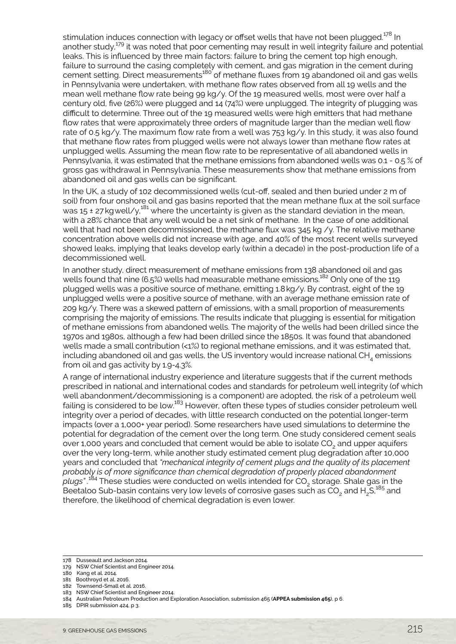stimulation induces connection with legacy or offset wells that have not been plugged.<sup>178</sup> In another study,<sup>179</sup> it was noted that poor cementing may result in well integrity failure and potential leaks. This is influenced by three main factors: failure to bring the cement top high enough, failure to surround the casing completely with cement, and gas migration in the cement during cement setting. Direct measurements<sup>180</sup> of methane fluxes from 19 abandoned oil and gas wells in Pennsylvania were undertaken, with methane flow rates observed from all 19 wells and the mean well methane flow rate being 99 kg/y. Of the 19 measured wells, most were over half a century old, five (26%) were plugged and 14 (74%) were unplugged. The integrity of plugging was difficult to determine. Three out of the 19 measured wells were high emitters that had methane flow rates that were approximately three orders of magnitude larger than the median well flow rate of 0.5 kg/y. The maximum flow rate from a well was 753 kg/y. In this study, it was also found that methane flow rates from plugged wells were not always lower than methane flow rates at unplugged wells. Assuming the mean flow rate to be representative of all abandoned wells in Pennsylvania, it was estimated that the methane emissions from abandoned wells was 0.1 - 0.5 % of gross gas withdrawal in Pennsylvania. These measurements show that methane emissions from abandoned oil and gas wells can be significant.

In the UK, a study of 102 decommissioned wells (cut-off, sealed and then buried under 2 m of soil) from four onshore oil and gas basins reported that the mean methane flux at the soil surface was 15 ± 27 kg well/y,<sup>181</sup> where the uncertainty is given as the standard deviation in the mean, with a 28% chance that any well would be a net sink of methane. In the case of one additional well that had not been decommissioned, the methane flux was 345 kg /y. The relative methane concentration above wells did not increase with age, and 40% of the most recent wells surveyed showed leaks, implying that leaks develop early (within a decade) in the post-production life of a decommissioned well.

In another study, direct measurement of methane emissions from 138 abandoned oil and gas wells found that nine (6.5%) wells had measurable methane emissions.<sup>182</sup> Only one of the 119 plugged wells was a positive source of methane, emitting 1.8kg/y. By contrast, eight of the 19 unplugged wells were a positive source of methane, with an average methane emission rate of 209 kg/y. There was a skewed pattern of emissions, with a small proportion of measurements comprising the majority of emissions. The results indicate that plugging is essential for mitigation of methane emissions from abandoned wells. The majority of the wells had been drilled since the 1970s and 1980s, although a few had been drilled since the 1850s. It was found that abandoned wells made a small contribution (<1%) to regional methane emissions, and it was estimated that, including abandoned oil and gas wells, the US inventory would increase national  $CH<sub>4</sub>$  emissions from oil and gas activity by 1.9-4.3%.

A range of international industry experience and literature suggests that if the current methods prescribed in national and international codes and standards for petroleum well integrity (of which well abandonment/decommissioning is a component) are adopted, the risk of a petroleum well failing is considered to be low.<sup>183</sup> However, often these types of studies consider petroleum well integrity over a period of decades, with little research conducted on the potential longer-term impacts (over a 1,000+ year period). Some researchers have used simulations to determine the potential for degradation of the cement over the long term. One study considered cement seals over 1,000 years and concluded that cement would be able to isolate CO<sub>2</sub> and upper aquifers over the very long-term, while another study estimated cement plug degradation after 10,000 years and concluded that *"mechanical integrity of cement plugs and the quality of its placement probably is of more significance than chemical degradation of properly placed abandonment*  plugs".<sup>184</sup> These studies were conducted on wells intended for CO<sub>2</sub> storage. Shale gas in the Beetaloo Sub-basin contains very low levels of corrosive gases such as  $CO<sub>2</sub>$  and H<sub>2</sub>S,<sup>185</sup> and therefore, the likelihood of chemical degradation is even lower.

<sup>178</sup> Dusseault and Jackson 2014.

<sup>179</sup> NSW Chief Scientist and Engineer 2014.

<sup>180</sup> Kang et al. 2014.

<sup>181</sup> Boothroyd et al. 2016.

<sup>182</sup> Townsend-Small et al. 2016.

<sup>183</sup> NSW Chief Scientist and Engineer 2014.

<sup>184</sup> Australian Petroleum Production and Exploration Association, submission 465 (**APPEA submission 465**), p 6.

<sup>185</sup> DPIR submission 424, p 3.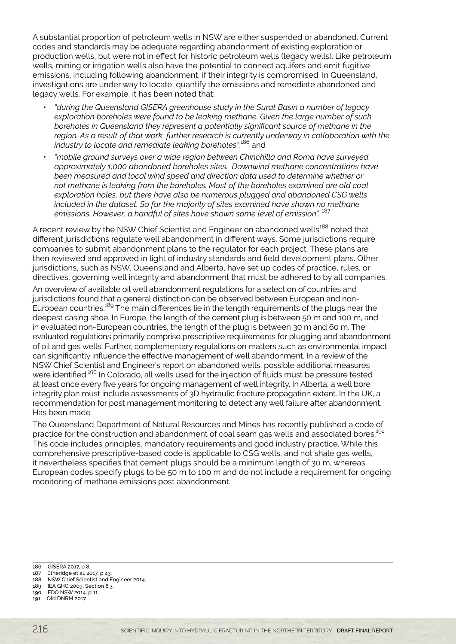A substantial proportion of petroleum wells in NSW are either suspended or abandoned. Current codes and standards may be adequate regarding abandonment of existing exploration or production wells, but were not in effect for historic petroleum wells (legacy wells). Like petroleum wells, mining or irrigation wells also have the potential to connect aquifers and emit fugitive emissions, including following abandonment, if their integrity is compromised. In Queensland, investigations are under way to locate, quantify the emissions and remediate abandoned and legacy wells. For example, it has been noted that:

- *"during the Queensland GISERA greenhouse study in the Surat Basin a number of legacy exploration boreholes were found to be leaking methane. Given the large number of such boreholes in Queensland they represent a potentially significant source of methane in the region. As a result of that work, further research is currently underway in collaboration with the industry to locate and remediate leaking boreholes";*186 and
- *"mobile ground surveys over a wide region between Chinchilla and Roma have surveyed approximately 1,000 abandoned boreholes sites. Downwind methane concentrations have been measured and local wind speed and direction data used to determine whether or not methane is leaking from the boreholes. Most of the boreholes examined are old coal exploration holes, but there have also be numerous plugged and abandoned CSG wells included in the dataset. So far the majority of sites examined have shown no methane emissions. However, a handful of sites have shown some level of emission".* <sup>187</sup>

A recent review by the NSW Chief Scientist and Engineer on abandoned wells<sup>188</sup> noted that different jurisdictions regulate well abandonment in different ways. Some jurisdictions require companies to submit abandonment plans to the regulator for each project. These plans are then reviewed and approved in light of industry standards and field development plans. Other jurisdictions, such as NSW, Queensland and Alberta, have set up codes of practice, rules, or directives, governing well integrity and abandonment that must be adhered to by all companies.

An overview of available oil well abandonment regulations for a selection of countries and jurisdictions found that a general distinction can be observed between European and non-European countries.<sup>189</sup> The main differences lie in the length requirements of the plugs near the deepest casing shoe. In Europe, the length of the cement plug is between 50 m and 100 m, and in evaluated non-European countries, the length of the plug is between 30 m and 60 m. The evaluated regulations primarily comprise prescriptive requirements for plugging and abandonment of oil and gas wells. Further, complementary regulations on matters such as environmental impact can significantly influence the effective management of well abandonment. In a review of the NSW Chief Scientist and Engineer's report on abandoned wells, possible additional measures were identified.<sup>190</sup> In Colorado, all wells used for the injection of fluids must be pressure tested at least once every five years for ongoing management of well integrity. In Alberta, a well bore integrity plan must include assessments of 3D hydraulic fracture propagation extent. In the UK, a recommendation for post management monitoring to detect any well failure after abandonment. Has been made

The Queensland Department of Natural Resources and Mines has recently published a code of practice for the construction and abandonment of coal seam gas wells and associated bores.<sup>191</sup> This code includes principles, mandatory requirements and good industry practice. While this comprehensive prescriptive-based code is applicable to CSG wells, and not shale gas wells, it nevertheless specifies that cement plugs should be a minimum length of 30 m, whereas European codes specify plugs to be 50 m to 100 m and do not include a requirement for ongoing monitoring of methane emissions post abandonment.

- 187 Etheridge et al. 2017, p 43.
- 188 NSW Chief Scientist and Engineer 2014.
- 189 IEA GHG 2009, Section 8.3. 190 EDO NSW 2014, p 11.
- 191 Qld DNRM 2017.

<sup>186</sup>  GISERA 2017, p 8.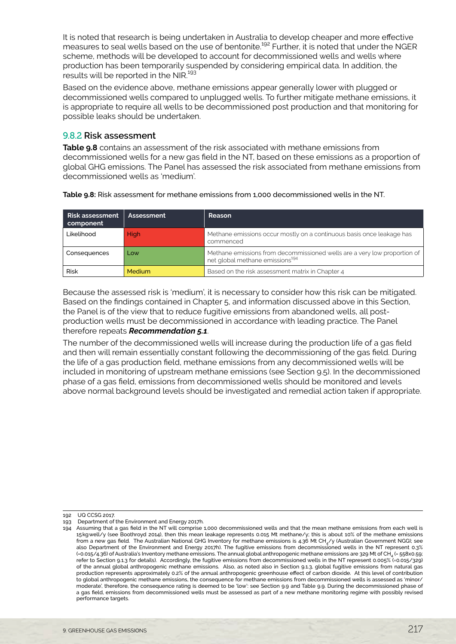It is noted that research is being undertaken in Australia to develop cheaper and more effective measures to seal wells based on the use of bentonite.<sup>192</sup> Further, it is noted that under the NGER scheme, methods will be developed to account for decommissioned wells and wells where production has been temporarily suspended by considering empirical data. In addition, the .<br>results will be reported in the NIR.<sup>193</sup>

Based on the evidence above, methane emissions appear generally lower with plugged or decommissioned wells compared to unplugged wells. To further mitigate methane emissions, it is appropriate to require all wells to be decommissioned post production and that monitoring for possible leaks should be undertaken.

#### 9.8.2 **Risk assessment**

**Table 9.8** contains an assessment of the risk associated with methane emissions from decommissioned wells for a new gas field in the NT, based on these emissions as a proportion of global GHG emissions. The Panel has assessed the risk associated from methane emissions from decommissioned wells as 'medium'.

| <b>Risk assessment</b><br>component | Assessment | Reason                                                                                                                  |
|-------------------------------------|------------|-------------------------------------------------------------------------------------------------------------------------|
| Likelihood                          | High       | Methane emissions occur mostly on a continuous basis once leakage has<br>commenced                                      |
| Consequences                        | Low        | Methane emissions from decommissioned wells are a very low proportion of<br>net global methane emissions <sup>194</sup> |
| <b>Risk</b>                         | Medium     | Based on the risk assessment matrix in Chapter 4                                                                        |

Because the assessed risk is 'medium', it is necessary to consider how this risk can be mitigated. Based on the findings contained in Chapter 5, and information discussed above in this Section, the Panel is of the view that to reduce fugitive emissions from abandoned wells, all postproduction wells must be decommissioned in accordance with leading practice. The Panel therefore repeats *Recommendation 5.1*.

The number of the decommissioned wells will increase during the production life of a gas field and then will remain essentially constant following the decommissioning of the gas field. During the life of a gas production field, methane emissions from any decommissioned wells will be included in monitoring of upstream methane emissions (see Section 9.5). In the decommissioned phase of a gas field, emissions from decommissioned wells should be monitored and levels above normal background levels should be investigated and remedial action taken if appropriate.

192 UQ CCSG 2017.

<sup>193</sup>  Department of the Environment and Energy 2017h.

<sup>194</sup> Assuming that a gas field in the NT will comprise 1,000 decommissioned wells and that the mean methane emissions from each well is 15kgwell/y (see Boothroyd 2014), then this mean leakage represents 0.015 Mt methane/y; this is about 10% of the methane emissions from a new gas field. The Australian National GHG Inventory for methane emissions is 4.36 Mt CH<sub>4</sub>/y (Australian Government NGGI; see also Department of the Environment and Energy 2017h). The fugitive emissions from decommissioned wells in the NT represent 0.3% (=0.015/4.36) of Australia's Inventory methane emissions. The annual global anthropogenic methane emissions are 329 Mt of CH<sub>4</sub> (= 558x0.59; refer to Section 9.1.3 for details). Accordingly, the fugitive emissions from decommissioned wells in the NT represent 0.005% (=0.015/329) of the annual global anthropogenic methane emissions. Also, as noted also in Section 9.1.3, global fugitive emissions from natural gas production represents approximately 0.2% of the annual anthropogenic greenhouse effect of carbon dioxide. At this level of contribution to global anthropogenic methane emissions, the consequence for methane emissions from decommissioned wells is assessed as 'minor/ moderate', therefore, the consequence rating is deemed to be 'low': see Section 9.9 and Table 9.9. During the decommissioned phase of a gas field, emissions from decommissioned wells must be assessed as part of a new methane monitoring regime with possibly revised performance targets.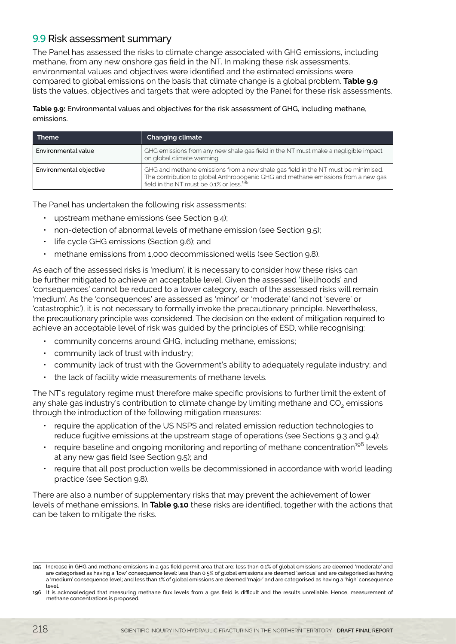# <span id="page-27-0"></span>9.9 Risk assessment summary

The Panel has assessed the risks to climate change associated with GHG emissions, including methane, from any new onshore gas field in the NT. In making these risk assessments, environmental values and objectives were identified and the estimated emissions were compared to global emissions on the basis that climate change is a global problem. **Table 9.9** lists the values, objectives and targets that were adopted by the Panel for these risk assessments.

#### **Table 9.9:** Environmental values and objectives for the risk assessment of GHG, including methane, emissions.

| <b>Theme</b>            | <b>Changing climate</b>                                                                                                                                                                                                        |
|-------------------------|--------------------------------------------------------------------------------------------------------------------------------------------------------------------------------------------------------------------------------|
| Environmental value     | GHG emissions from any new shale gas field in the NT must make a negligible impact<br>on global climate warming.                                                                                                               |
| Environmental objective | GHG and methane emissions from a new shale gas field in the NT must be minimised.<br>The contribution to global Anthropogenic GHG and methane emissions from a new gas<br>field in the NT must be 0.1% or less. <sup>195</sup> |

The Panel has undertaken the following risk assessments:

- upstream methane emissions (see Section 9.4);
- non-detection of abnormal levels of methane emission (see Section 9.5);
- life cycle GHG emissions (Section 9.6); and
- methane emissions from 1,000 decommissioned wells (see Section 9.8).

As each of the assessed risks is 'medium', it is necessary to consider how these risks can be further mitigated to achieve an acceptable level. Given the assessed 'likelihoods' and 'consequences' cannot be reduced to a lower category, each of the assessed risks will remain 'medium'. As the 'consequences' are assessed as 'minor' or 'moderate' (and not 'severe' or 'catastrophic'), it is not necessary to formally invoke the precautionary principle. Nevertheless, the precautionary principle was considered. The decision on the extent of mitigation required to achieve an acceptable level of risk was guided by the principles of ESD, while recognising:

- community concerns around GHG, including methane, emissions;
- community lack of trust with industry;
- community lack of trust with the Government's ability to adequately regulate industry; and
- the lack of facility wide measurements of methane levels.

The NT's regulatory regime must therefore make specific provisions to further limit the extent of any shale gas industry's contribution to climate change by limiting methane and CO<sub>2</sub> emissions through the introduction of the following mitigation measures:

- require the application of the US NSPS and related emission reduction technologies to reduce fugitive emissions at the upstream stage of operations (see Sections 9.3 and 9.4);
- require baseline and ongoing monitoring and reporting of methane concentration<sup>196</sup> levels at any new gas field (see Section 9.5); and
- require that all post production wells be decommissioned in accordance with world leading practice (see Section 9.8).

There are also a number of supplementary risks that may prevent the achievement of lower levels of methane emissions. In **Table 9.10** these risks are identified, together with the actions that can be taken to mitigate the risks.

<sup>195</sup> Increase in GHG and methane emissions in a gas field permit area that are: less than 0.1% of global emissions are deemed 'moderate' and are categorised as having a 'low' consequence level; less than 0.5% of global emissions are deemed 'serious' and are categorised as having a 'medium' consequence level; and less than 1% of global emissions are deemed 'major' and are categorised as having a 'high' consequence level.

<sup>196</sup> It is acknowledged that measuring methane flux levels from a gas field is difficult and the results unreliable. Hence, measurement of methane concentrations is proposed.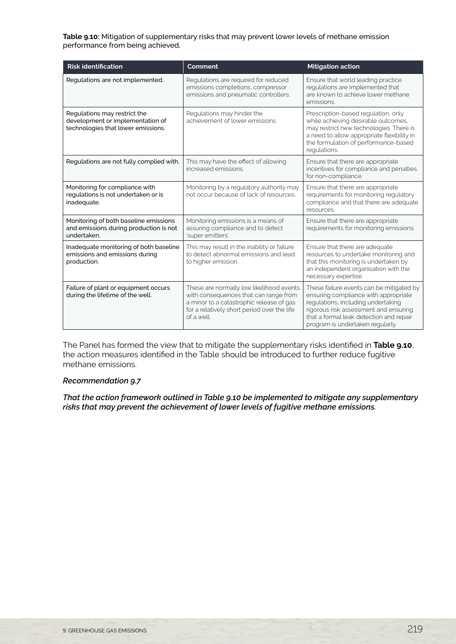**Table 9.10:** Mitigation of supplementary risks that may prevent lower levels of methane emission performance from being achieved.

| <b>Risk identification</b>                                                                             | Comment                                                                                                                                                                                    | <b>Mitigation action</b>                                                                                                                                                                                                                       |
|--------------------------------------------------------------------------------------------------------|--------------------------------------------------------------------------------------------------------------------------------------------------------------------------------------------|------------------------------------------------------------------------------------------------------------------------------------------------------------------------------------------------------------------------------------------------|
| Regulations are not implemented.                                                                       | Regulations are required for reduced<br>emissions completions, compressor<br>emissions and pneumatic controllers.                                                                          | Ensure that world leading practice<br>regulations are implemented that<br>are known to achieve lower methane<br>emissions.                                                                                                                     |
| Regulations may restrict the<br>development or implementation of<br>technologies that lower emissions. | Regulations may hinder the<br>achievement of lower emissions.                                                                                                                              | Prescription-based regulation, only<br>while achieving desirable outcomes,<br>may restrict new technologies. There is<br>a need to allow appropriate flexibility in<br>the formulation of performance-based<br>requlations.                    |
| Regulations are not fully complied with.                                                               | This may have the effect of allowing<br>increased emissions.                                                                                                                               | Ensure that there are appropriate<br>incentives for compliance and penalties<br>for non-compliance.                                                                                                                                            |
| Monitoring for compliance with<br>regulations is not undertaken or is<br>inadequate.                   | Monitoring by a regulatory authority may<br>not occur because of lack of resources.                                                                                                        | Ensure that there are appropriate<br>requirements for monitoring regulatory<br>compliance and that there are adequate<br>resources.                                                                                                            |
| Monitoring of both baseline emissions<br>and emissions during production is not<br>undertaken.         | Monitoring emissions is a means of<br>assuring compliance and to detect<br>'super emitters'.                                                                                               | Ensure that there are appropriate<br>requirements for monitoring emissions.                                                                                                                                                                    |
| Inadequate monitoring of both baseline<br>emissions and emissions during<br>production.                | This may result in the inability or failure<br>to detect abnormal emissions and lead<br>to higher emission.                                                                                | Ensure that there are adequate<br>resources to undertake monitoring and<br>that this monitoring is undertaken by<br>an independent organisation with the<br>necessary expertise.                                                               |
| Failure of plant or equipment occurs<br>during the lifetime of the well.                               | These are normally low likelihood events<br>with consequences that can range from<br>a minor to a catastrophic release of gas<br>for a relatively short period over the life<br>of a well. | These failure events can be mitigated by<br>ensuring compliance with appropriate<br>regulations, including undertaking<br>rigorous risk assessment and ensuring<br>that a formal leak detection and repair<br>program is undertaken regularly. |

The Panel has formed the view that to mitigate the supplementary risks identified in **Table 9.10**, the action measures identified in the Table should be introduced to further reduce fugitive methane emissions.

#### *Recommendation 9.7*

*That the action framework outlined in Table 9.10 be implemented to mitigate any supplementary risks that may prevent the achievement of lower levels of fugitive methane emissions.*